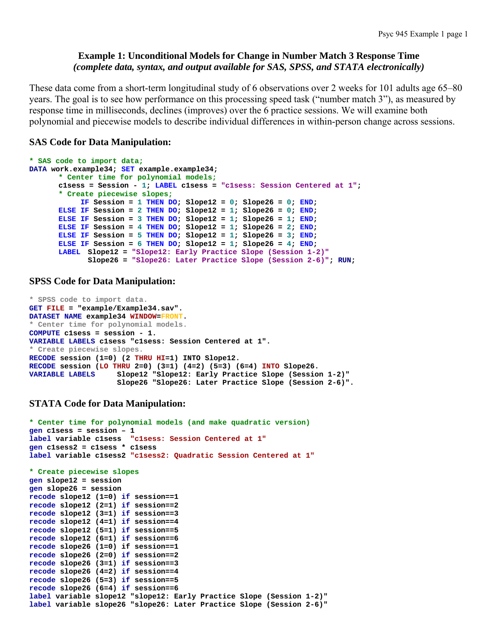### **Example 1: Unconditional Models for Change in Number Match 3 Response Time**  *(complete data, syntax, and output available for SAS, SPSS, and STATA electronically)*

These data come from a short-term longitudinal study of 6 observations over 2 weeks for 101 adults age 65–80 years. The goal is to see how performance on this processing speed task ("number match 3"), as measured by response time in milliseconds, declines (improves) over the 6 practice sessions. We will examine both polynomial and piecewise models to describe individual differences in within-person change across sessions.

### **SAS Code for Data Manipulation:**

```
* SAS code to import data;
DATA work.example34; SET example.example34; 
      * Center time for polynomial models;
       c1sess = Session - 1; LABEL c1sess = "c1sess: Session Centered at 1"; 
      * Create piecewise slopes;
            IF Session = 1 THEN DO; Slope12 = 0; Slope26 = 0; END; 
      ELSE IF Session = 2 THEN DO; Slope12 = 1; Slope26 = 0; END; 
      ELSE IF Session = 3 THEN DO; Slope12 = 1; Slope26 = 1; END; 
      ELSE IF Session = 4 THEN DO; Slope12 = 1; Slope26 = 2; END; 
      ELSE IF Session = 5 THEN DO; Slope12 = 1; Slope26 = 3; END; 
      ELSE IF Session = 6 THEN DO; Slope12 = 1; Slope26 = 4; END; 
      LABEL Slope12 = "Slope12: Early Practice Slope (Session 1-2)"
              Slope26 = "Slope26: Later Practice Slope (Session 2-6)"; RUN;
```
### **SPSS Code for Data Manipulation:**

```
* SPSS code to import data. 
GET FILE = "example/Example34.sav". 
DATASET NAME example34 WINDOW=FRONT. 
* Center time for polynomial models.
COMPUTE c1sess = session - 1. 
VARIABLE LABELS c1sess "c1sess: Session Centered at 1". 
* Create piecewise slopes. 
RECODE session (1=0) (2 THRU HI=1) INTO Slope12. 
RECODE session (LO THRU 2=0) (3=1) (4=2) (5=3) (6=4) INTO Slope26. 
VARIABLE LABELS Slope12 "Slope12: Early Practice Slope (Session 1-2)" 
                     Slope26 "Slope26: Later Practice Slope (Session 2-6)".
```
### **STATA Code for Data Manipulation:**

```
* Center time for polynomial models (and make quadratic version) 
gen c1sess = session – 1 
label variable c1sess "c1sess: Session Centered at 1"
gen c1sess2 = c1sess * c1sess 
label variable c1sess2 "c1sess2: Quadratic Session Centered at 1" 
* Create piecewise slopes 
gen slope12 = session 
gen slope26 = session 
recode slope12 (1=0) if session==1 
recode slope12 (2=1) if session==2 
recode slope12 (3=1) if session==3 
recode slope12 (4=1) if session==4 
recode slope12 (5=1) if session==5 
recode slope12 (6=1) if session==6 
recode slope26 (1=0) if session==1 
recode slope26 (2=0) if session==2 
recode slope26 (3=1) if session==3 
recode slope26 (4=2) if session==4 
recode slope26 (5=3) if session==5 
recode slope26 (6=4) if session==6 
label variable slope12 "slope12: Early Practice Slope (Session 1-2)" 
label variable slope26 "slope26: Later Practice Slope (Session 2-6)"
```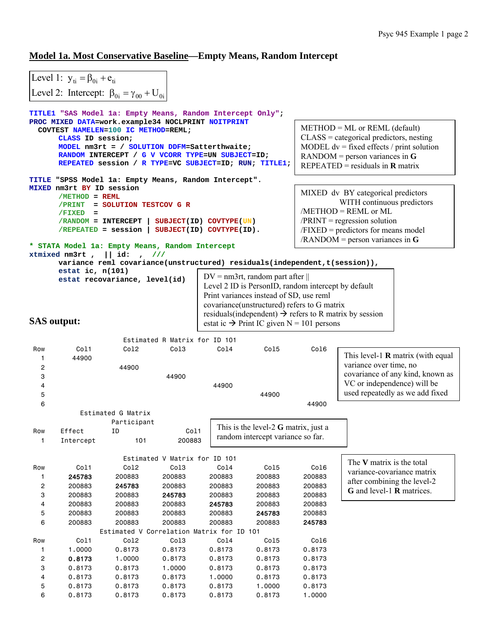## **Model 1a. Most Conservative Baseline—Empty Means, Random Intercept**

|                                                                                        | Level 1: $y_{ti} = \beta_{0i} + e_{ti}$ |                                                                                                                                                                                                                                                                                                                      |                               |                  |                                                                                                                                                                                                            |                  |                                                                     |
|----------------------------------------------------------------------------------------|-----------------------------------------|----------------------------------------------------------------------------------------------------------------------------------------------------------------------------------------------------------------------------------------------------------------------------------------------------------------------|-------------------------------|------------------|------------------------------------------------------------------------------------------------------------------------------------------------------------------------------------------------------------|------------------|---------------------------------------------------------------------|
|                                                                                        |                                         | Level 2: Intercept: $\beta_{0i} = \gamma_{00} + U_{0i}$                                                                                                                                                                                                                                                              |                               |                  |                                                                                                                                                                                                            |                  |                                                                     |
|                                                                                        |                                         |                                                                                                                                                                                                                                                                                                                      |                               |                  |                                                                                                                                                                                                            |                  |                                                                     |
|                                                                                        | CLASS ID session;                       | TITLE1 "SAS Model 1a: Empty Means, Random Intercept Only";<br>PROC MIXED DATA=work.example34 NOCLPRINT NOITPRINT<br>COVTEST NAMELEN=100 IC METHOD=REML;<br>MODEL nm3rt = / SOLUTION DDFM=Satterthwaite;<br>RANDOM INTERCEPT / G V VCORR TYPE=UN SUBJECT=ID;<br>REPEATED session / R TYPE=VC SUBJECT=ID; RUN; TITLE1; |                               |                  | $METHOD = ML$ or REML (default)<br>$CLASS = categorical$ predictors, nesting<br>MODEL $dv = fixed$ effects / print solution<br>$RANDOM$ = person variances in G<br>REPEATED = residuals in $\bf{R}$ matrix |                  |                                                                     |
|                                                                                        |                                         | TITLE "SPSS Model la: Empty Means, Random Intercept".                                                                                                                                                                                                                                                                |                               |                  |                                                                                                                                                                                                            |                  |                                                                     |
|                                                                                        | MIXED nm3rt BY ID session               |                                                                                                                                                                                                                                                                                                                      |                               |                  |                                                                                                                                                                                                            |                  | MIXED dv BY categorical predictors                                  |
|                                                                                        | $/METHOD = REML$                        |                                                                                                                                                                                                                                                                                                                      |                               |                  |                                                                                                                                                                                                            |                  | WITH continuous predictors                                          |
|                                                                                        | /PRINT<br>/FIXED<br>$\equiv$            | = SOLUTION TESTCOV G R                                                                                                                                                                                                                                                                                               |                               |                  |                                                                                                                                                                                                            |                  | $/METHOD = REML$ or $ML$                                            |
|                                                                                        | /RANDOM = INTERCEPT                     |                                                                                                                                                                                                                                                                                                                      | SUBJECT (ID) COVTYPE (UN)     |                  |                                                                                                                                                                                                            |                  | $/PRINT = regression solution$                                      |
|                                                                                        | /REPEATED = session                     |                                                                                                                                                                                                                                                                                                                      | SUBJECT(ID) COVTYPE(ID).      |                  |                                                                                                                                                                                                            |                  | $/FIXED = predictors for means model$                               |
|                                                                                        |                                         |                                                                                                                                                                                                                                                                                                                      |                               |                  |                                                                                                                                                                                                            |                  | $/$ RANDOM = person variances in G                                  |
|                                                                                        | xtmixed nm3rt,                          | * STATA Model 1a: Empty Means, Random Intercept<br>   id:<br>$\cdot$ ///                                                                                                                                                                                                                                             |                               |                  |                                                                                                                                                                                                            |                  |                                                                     |
|                                                                                        |                                         | variance reml covariance(unstructured) residuals(independent,t(session)),                                                                                                                                                                                                                                            |                               |                  |                                                                                                                                                                                                            |                  |                                                                     |
|                                                                                        | estat ic, $n(101)$                      |                                                                                                                                                                                                                                                                                                                      |                               |                  |                                                                                                                                                                                                            |                  |                                                                     |
|                                                                                        |                                         | estat recovariance, level(id)                                                                                                                                                                                                                                                                                        |                               |                  | $DV = nm3rt$ , random part after                                                                                                                                                                           |                  |                                                                     |
|                                                                                        |                                         |                                                                                                                                                                                                                                                                                                                      |                               |                  | Level 2 ID is PersonID, random intercept by default                                                                                                                                                        |                  |                                                                     |
| Print variances instead of SD, use reml<br>covariance(unstructured) refers to G matrix |                                         |                                                                                                                                                                                                                                                                                                                      |                               |                  |                                                                                                                                                                                                            |                  |                                                                     |
|                                                                                        |                                         |                                                                                                                                                                                                                                                                                                                      |                               |                  |                                                                                                                                                                                                            |                  | residuals (independent) $\rightarrow$ refers to R matrix by session |
| <b>SAS</b> output:                                                                     |                                         |                                                                                                                                                                                                                                                                                                                      |                               |                  | estat ic $\rightarrow$ Print IC given N = 101 persons                                                                                                                                                      |                  |                                                                     |
|                                                                                        |                                         |                                                                                                                                                                                                                                                                                                                      |                               |                  |                                                                                                                                                                                                            |                  |                                                                     |
|                                                                                        |                                         |                                                                                                                                                                                                                                                                                                                      |                               |                  |                                                                                                                                                                                                            |                  |                                                                     |
|                                                                                        |                                         |                                                                                                                                                                                                                                                                                                                      | Estimated R Matrix for ID 101 |                  |                                                                                                                                                                                                            |                  |                                                                     |
| Row                                                                                    | Col1                                    | Co12                                                                                                                                                                                                                                                                                                                 | Col3                          | Col4             | Co15                                                                                                                                                                                                       | Col6             |                                                                     |
| 1                                                                                      | 44900                                   |                                                                                                                                                                                                                                                                                                                      |                               |                  |                                                                                                                                                                                                            |                  | This level-1 $\bf{R}$ matrix (with equal                            |
| 2                                                                                      |                                         | 44900                                                                                                                                                                                                                                                                                                                |                               |                  |                                                                                                                                                                                                            |                  | variance over time, no                                              |
| 3                                                                                      |                                         |                                                                                                                                                                                                                                                                                                                      | 44900                         |                  |                                                                                                                                                                                                            |                  | covariance of any kind, known as                                    |
| 4                                                                                      |                                         |                                                                                                                                                                                                                                                                                                                      |                               | 44900            |                                                                                                                                                                                                            |                  | VC or independence) will be                                         |
| 5<br>6                                                                                 |                                         |                                                                                                                                                                                                                                                                                                                      |                               |                  | 44900                                                                                                                                                                                                      | 44900            | used repeatedly as we add fixed                                     |
|                                                                                        |                                         | Estimated G Matrix                                                                                                                                                                                                                                                                                                   |                               |                  |                                                                                                                                                                                                            |                  |                                                                     |
|                                                                                        |                                         | Participant                                                                                                                                                                                                                                                                                                          |                               |                  |                                                                                                                                                                                                            |                  |                                                                     |
| Row                                                                                    | Effect                                  | ΙD                                                                                                                                                                                                                                                                                                                   | Col1                          |                  | This is the level-2 $G$ matrix, just a                                                                                                                                                                     |                  |                                                                     |
| $\mathbf{1}$                                                                           | Intercept                               | 101                                                                                                                                                                                                                                                                                                                  | 200883                        |                  | random intercept variance so far.                                                                                                                                                                          |                  |                                                                     |
|                                                                                        |                                         |                                                                                                                                                                                                                                                                                                                      |                               |                  |                                                                                                                                                                                                            |                  |                                                                     |
|                                                                                        |                                         |                                                                                                                                                                                                                                                                                                                      | Estimated V Matrix for ID 101 |                  |                                                                                                                                                                                                            |                  | The V matrix is the total                                           |
| Row                                                                                    | Col1                                    | Co12                                                                                                                                                                                                                                                                                                                 | Col3                          | Co14             | Co15                                                                                                                                                                                                       | Co16             | variance-covariance matrix                                          |
| 1                                                                                      | 245783                                  | 200883                                                                                                                                                                                                                                                                                                               | 200883                        | 200883           | 200883                                                                                                                                                                                                     | 200883           | after combining the level-2                                         |
| 2<br>3                                                                                 | 200883<br>200883                        | 245783<br>200883                                                                                                                                                                                                                                                                                                     | 200883                        | 200883<br>200883 | 200883<br>200883                                                                                                                                                                                           | 200883<br>200883 | G and level-1 <b>R</b> matrices.                                    |
| 4                                                                                      | 200883                                  | 200883                                                                                                                                                                                                                                                                                                               | 245783<br>200883              | 245783           | 200883                                                                                                                                                                                                     | 200883           |                                                                     |
| 5                                                                                      | 200883                                  | 200883                                                                                                                                                                                                                                                                                                               | 200883                        | 200883           | 245783                                                                                                                                                                                                     | 200883           |                                                                     |
| 6                                                                                      | 200883                                  | 200883                                                                                                                                                                                                                                                                                                               | 200883                        | 200883           | 200883                                                                                                                                                                                                     | 245783           |                                                                     |
|                                                                                        |                                         | Estimated V Correlation Matrix for ID 101                                                                                                                                                                                                                                                                            |                               |                  |                                                                                                                                                                                                            |                  |                                                                     |
| Row                                                                                    | Col1                                    | Co12                                                                                                                                                                                                                                                                                                                 | Co13                          | Co14             | Co15                                                                                                                                                                                                       | Co16             |                                                                     |
| 1                                                                                      | 1.0000                                  | 0.8173                                                                                                                                                                                                                                                                                                               | 0.8173                        | 0.8173           | 0.8173                                                                                                                                                                                                     | 0.8173           |                                                                     |
| 2                                                                                      | 0.8173                                  | 1.0000                                                                                                                                                                                                                                                                                                               | 0.8173                        | 0.8173           | 0.8173                                                                                                                                                                                                     | 0.8173           |                                                                     |
| 3                                                                                      | 0.8173                                  | 0.8173                                                                                                                                                                                                                                                                                                               | 1.0000                        | 0.8173           | 0.8173                                                                                                                                                                                                     | 0.8173           |                                                                     |
| 4<br>5                                                                                 | 0.8173<br>0.8173                        | 0.8173<br>0.8173                                                                                                                                                                                                                                                                                                     | 0.8173<br>0.8173              | 1.0000<br>0.8173 | 0.8173<br>1.0000                                                                                                                                                                                           | 0.8173<br>0.8173 |                                                                     |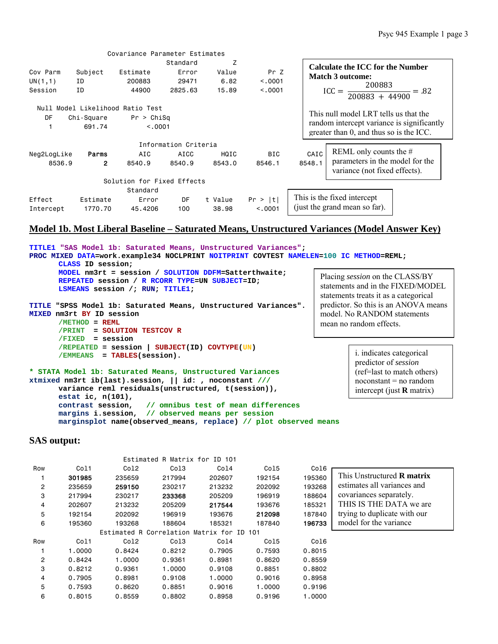|                                 |                | Covariance Parameter Estimates   |                      |         |                                       |                                                                                       |                                                                  |
|---------------------------------|----------------|----------------------------------|----------------------|---------|---------------------------------------|---------------------------------------------------------------------------------------|------------------------------------------------------------------|
|                                 |                |                                  | Standard             | Z       |                                       |                                                                                       | Calculate the ICC for the Number                                 |
| Cov Parm                        | Subject        | Estimate                         | Error                | Value   | Pr Z                                  |                                                                                       | Match 3 outcome:                                                 |
| UN(1,1)                         | ID             | 200883                           | 29471                | 6.82    | < 0.0001                              |                                                                                       | 200883                                                           |
| Session                         | TD.            | 44900                            | 2825.63              | 15.89   | < 0.001                               |                                                                                       | $ICC = \frac{200883 + 44900}{200883 + 44900} = .82$              |
|                                 |                | Null Model Likelihood Ratio Test |                      |         |                                       |                                                                                       |                                                                  |
| DF<br>$Chi-Square$ Pr > $ChiSq$ |                |                                  |                      |         | This null model LRT tells us that the |                                                                                       |                                                                  |
|                                 | 691.74         | < 0.0001                         |                      |         |                                       | random intercept variance is significantly<br>greater than 0, and thus so is the ICC. |                                                                  |
|                                 |                |                                  | Information Criteria |         |                                       |                                                                                       |                                                                  |
| Neg2LogLike                     | Parms          | AIC                              | AICC                 | HQIC    | <b>BIC</b>                            | CAIC                                                                                  | REML only counts the $#$                                         |
| 8536.9                          | $\overline{2}$ | 8540.9                           | 8540.9               | 8543.0  | 8546.1                                | 8548.1                                                                                | parameters in the model for the<br>variance (not fixed effects). |
|                                 |                | Solution for Fixed Effects       |                      |         |                                       |                                                                                       |                                                                  |
|                                 |                | Standard                         |                      |         |                                       |                                                                                       |                                                                  |
| Effect                          | Estimate       | Error                            | DF                   | t Value | Pr >  t                               |                                                                                       | This is the fixed intercept                                      |
| Intercept                       | 1770.70        | 45,4206                          | 100                  | 38.98   | < 0.0001                              |                                                                                       | (just the grand mean so far).                                    |

### **Model 1b. Most Liberal Baseline – Saturated Means, Unstructured Variances (Model Answer Key)**

**TITLE1 "SAS Model 1b: Saturated Means, Unstructured Variances"; PROC MIXED DATA=work.example34 NOCLPRINT NOITPRINT COVTEST NAMELEN=100 IC METHOD=REML; CLASS ID session; MODEL nm3rt = session / SOLUTION DDFM=Satterthwaite; REPEATED session / R RCORR TYPE=UN SUBJECT=ID; LSMEANS session /; RUN; TITLE1; TITLE "SPSS Model 1b: Saturated Means, Unstructured Variances". MIXED nm3rt BY ID session /METHOD = REML /PRINT = SOLUTION TESTCOV R /FIXED = session /REPEATED = session | SUBJECT(ID) COVTYPE(UN) /EMMEANS = TABLES(session). \* STATA Model 1b: Saturated Means, Unstructured Variances xtmixed nm3rt ib(last).session, || id: , noconstant /// variance reml residuals(unstructured, t(session)), estat ic, n(101), contrast session, // omnibus test of mean differences margins i.session, // observed means per session marginsplot name(observed\_means, replace) // plot observed means**  i. indicates categorical predictor of *session* (ref=last to match others) noconstant = no random intercept (just **R** matrix) Placing *session* on the CLASS/BY statements and in the FIXED/MODEL statements treats it as a categorical predictor. So this is an ANOVA means model. No RANDOM statements mean no random effects.

|                |        |                         | Estimated R Matrix for ID 101 |                   |        |        |                                   |
|----------------|--------|-------------------------|-------------------------------|-------------------|--------|--------|-----------------------------------|
| Row            | Col1   | Co12                    | Col3                          | Col4              | Col5   | Col6   |                                   |
|                | 301985 | 235659                  | 217994                        | 202607            | 192154 | 195360 | This Unstructured <b>R</b> matrix |
| $\overline{c}$ | 235659 | 259150                  | 230217                        | 213232            | 202092 | 193268 | estimates all variances and       |
| 3              | 217994 | 230217                  | 233368                        | 205209            | 196919 | 188604 | covariances separately.           |
| 4              | 202607 | 213232                  | 205209                        | 217544            | 193676 | 185321 | THIS IS THE DATA we are           |
| 5              | 192154 | 202092                  | 196919                        | 193676            | 212098 | 187840 | trying to duplicate with our      |
| 6              | 195360 | 193268                  | 188604                        | 185321            | 187840 | 196733 | model for the variance            |
|                |        | Estimated R Correlation |                               | Matrix for ID 101 |        |        |                                   |
| Row            | Col1   | Co12                    | Col <sub>3</sub>              | Col4              | Col5   | Col6   |                                   |
|                | 1,0000 | 0.8424                  | 0.8212                        | 0.7905            | 0.7593 | 0.8015 |                                   |
| $\overline{c}$ | 0.8424 | 1,0000                  | 0.9361                        | 0.8981            | 0.8620 | 0.8559 |                                   |
| 3              | 0.8212 | 0.9361                  | 1.0000                        | 0.9108            | 0.8851 | 0.8802 |                                   |
| 4              | 0.7905 | 0.8981                  | 0.9108                        | 1,0000            | 0.9016 | 0.8958 |                                   |
| 5              | 0.7593 | 0.8620                  | 0.8851                        | 0.9016            | 1.0000 | 0.9196 |                                   |
| 6              | 0.8015 | 0.8559                  | 0.8802                        | 0.8958            | 0.9196 | 1,0000 |                                   |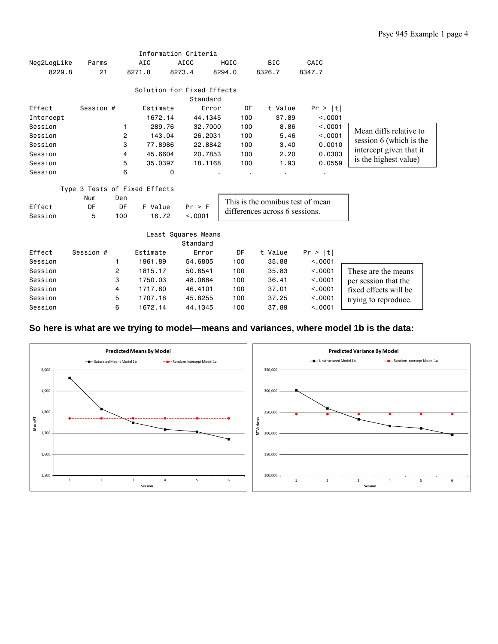|             |           |     |                               | Information Criteria                   |        |                                  |         |                         |
|-------------|-----------|-----|-------------------------------|----------------------------------------|--------|----------------------------------|---------|-------------------------|
| Neg2LogLike | Parms     |     | AIC                           | <b>AICC</b>                            | HQIC   | <b>BIC</b>                       | CAIC    |                         |
| 8229.8      | 21        |     | 8271.8                        | 8273.4                                 | 8294.0 | 8326.7                           | 8347.7  |                         |
|             |           |     |                               | Solution for Fixed Effects<br>Standard |        |                                  |         |                         |
| Effect      | Session # |     | Estimate                      | Error                                  | DF     | t Value                          | Pr >  t |                         |
| Intercept   |           |     | 1672.14                       | 44.1345                                | 100    | 37.89                            | < .0001 |                         |
| Session     |           | 1   | 289.76                        | 32.7000                                | 100    | 8.86                             | < .0001 | Mean diffs relative to  |
| Session     |           | 2   | 143.04                        | 26.2031                                | 100    | 5.46                             | < .0001 | session 6 (which is the |
| Session     |           | 3   | 77.8986                       | 22.8842                                | 100    | 3.40                             | 0.0010  |                         |
| Session     |           | 4   | 45.6604                       | 20.7853                                | 100    | 2.20                             | 0.0303  | intercept given that it |
| Session     |           | 5   | 35.0397                       | 18.1168                                | 100    | 1.93                             | 0.0559  | is the highest value)   |
| Session     |           | 6   | 0                             |                                        |        |                                  |         |                         |
|             |           |     | Type 3 Tests of Fixed Effects |                                        |        |                                  |         |                         |
|             | Num       | Den |                               |                                        |        | This is the omnibus test of mean |         |                         |
| Effect      | DF        | DF  | F Value                       | Pr > F                                 |        |                                  |         |                         |
| Session     | 5         | 100 | 16.72                         | < .0001                                |        | differences across 6 sessions.   |         |                         |
|             |           |     |                               | Least Squares Means<br>Standard        |        |                                  |         |                         |
| Effect      | Session # |     | Estimate                      | Error                                  | DF     | t Value                          | Pr >  t |                         |
| Session     |           | 1   | 1961.89                       | 54.6805                                | 100    | 35.88                            | < 0.001 |                         |
| Session     |           | 2   | 1815.17                       | 50.6541                                | 100    | 35.83                            | < 0.001 | These are the means     |
| Session     |           | 3   | 1750.03                       | 48.0684                                | 100    | 36.41                            | < .0001 | per session that the    |
| Session     |           | 4   | 1717.80                       | 46.4101                                | 100    | 37.01                            | < .0001 | fixed effects will be   |
| Session     |           | 5   | 1707.18                       | 45.8255                                | 100    | 37.25                            | < .0001 | trying to reproduce.    |
| Session     |           | 6   | 1672.14                       | 44.1345                                | 100    | 37.89                            | < .0001 |                         |

## **So here is what are we trying to model—means and variances, where model 1b is the data:**

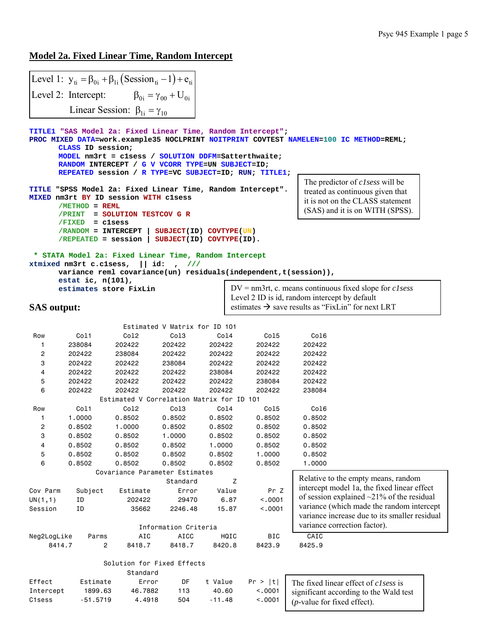### **Model 2a. Fixed Linear Time, Random Intercept**

Level 1:  $y_{ti} = \beta_{0i} + \beta_{1i} (Session_{ti} - 1) + e_{ti}$  $\beta_{0i} = \gamma_{00} + U_{0i}$ Linear Session:  $\beta_{1i} = \gamma_{10}$ Level 2: Intercept: **TITLE1 "SAS Model 2a: Fixed Linear Time, Random Intercept"; PROC MIXED DATA=work.example35 NOCLPRINT NOITPRINT COVTEST NAMELEN=100 IC METHOD=REML; CLASS ID session; MODEL nm3rt = c1sess / SOLUTION DDFM=Satterthwaite; RANDOM INTERCEPT / G V VCORR TYPE=UN SUBJECT=ID; REPEATED session / R TYPE=VC SUBJECT=ID; RUN; TITLE1; TITLE "SPSS Model 2a: Fixed Linear Time, Random Intercept". MIXED nm3rt BY ID session WITH c1sess /METHOD = REML /PRINT = SOLUTION TESTCOV G R /FIXED = c1sess /RANDOM = INTERCEPT | SUBJECT(ID) COVTYPE(UN) /REPEATED = session | SUBJECT(ID) COVTYPE(ID). \* STATA Model 2a: Fixed Linear Time, Random Intercept xtmixed nm3rt c.c1sess, || id: , /// variance reml covariance(un) residuals(independent,t(session)), estat ic, n(101), estimates store FixLin SAS output:**  Estimated V Matrix for ID 101 Row Col1 Col2 Col3 Col4 Col5 Col6 1 238084 202422 202422 202422 202422 202422 2 202422 238084 202422 202422 202422 202422 3 202422 202422 238084 202422 202422 202422 4 202422 202422 202422 238084 202422 202422 5 202422 202422 202422 202422 238084 202422 6 202422 202422 202422 202422 202422 238084 Estimated V Correlation Matrix for ID 101 Row Col1 Col2 Col3 Col4 Col5 Col6 1 1.0000 0.8502 0.8502 0.8502 0.8502 0.8502 2 0.8502 1.0000 0.8502 0.8502 0.8502 0.8502 3 0.8502 0.8502 1.0000 0.8502 0.8502 0.8502 4 0.8502 0.8502 0.8502 1.0000 0.8502 0.8502 5 0.8502 0.8502 0.8502 0.8502 1.0000 0.8502 6 0.8502 0.8502 0.8502 0.8502 0.8502 1.0000 Covariance Parameter Estimates Standard Z Cov Parm Subject Estimate Error Value Pr Z UN(1,1) ID 202422 29470 6.87 <.0001 Session ID 35662 2246.48 15.87 <.0001 Information Criteria Neg2LogLike Parms AIC AICC HQIC BIC CAIC 8414.7 2 8418.7 8418.7 8420.8 8423.9 8425.9 Solution for Fixed Effects Standard Effect Estimate Error DF t Value Pr > |t| Intercept 1899.63 46.7882 113 40.60 <.0001 C1sess -51.5719 4.4918 504 -11.48 <.0001 Relative to the empty means, random intercept model 1a, the fixed linear effect of session explained ~21% of the residual variance (which made the random intercept variance increase due to its smaller residual variance correction factor). The predictor of *c1sess* will be treated as continuous given that it is not on the CLASS statement (SAS) and it is on WITH (SPSS). DV = nm3rt, c. means continuous fixed slope for *c1sess* Level 2 ID is id, random intercept by default estimates  $\rightarrow$  save results as "FixLin" for next LRT The fixed linear effect of *c1sess* is significant according to the Wald test (*p*-value for fixed effect).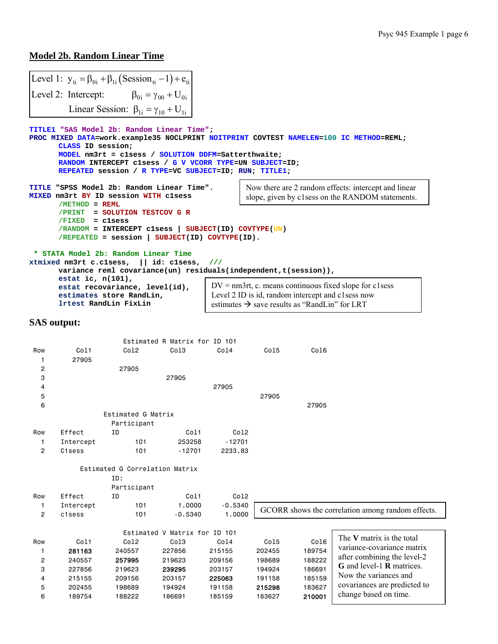### **Model 2b. Random Linear Time**

|     | Level 1: $y_{ti} = \beta_{0i} + \beta_{1i} (Session_{ti} - 1) + e_{ti}$                                                                                                                                                                                                                                                                  |                                                                                                                                                                         |                               |                                                                                                                |       |       |                                                                                                          |  |  |  |
|-----|------------------------------------------------------------------------------------------------------------------------------------------------------------------------------------------------------------------------------------------------------------------------------------------------------------------------------------------|-------------------------------------------------------------------------------------------------------------------------------------------------------------------------|-------------------------------|----------------------------------------------------------------------------------------------------------------|-------|-------|----------------------------------------------------------------------------------------------------------|--|--|--|
|     | Level 2: Intercept: $\beta_{0i} = \gamma_{00} + U_{0i}$                                                                                                                                                                                                                                                                                  |                                                                                                                                                                         |                               |                                                                                                                |       |       |                                                                                                          |  |  |  |
|     |                                                                                                                                                                                                                                                                                                                                          | Linear Session: $\beta_{1i} = \gamma_{10} + U_{1i}$                                                                                                                     |                               |                                                                                                                |       |       |                                                                                                          |  |  |  |
|     |                                                                                                                                                                                                                                                                                                                                          |                                                                                                                                                                         |                               |                                                                                                                |       |       |                                                                                                          |  |  |  |
|     | TITLE1 "SAS Model 2b: Random Linear Time";<br>CLASS ID session;                                                                                                                                                                                                                                                                          | MODEL nm3rt = clsess / SOLUTION DDFM=Satterthwaite;<br>RANDOM INTERCEPT clsess / G V VCORR TYPE=UN SUBJECT=ID;<br>REPEATED session / R TYPE=VC SUBJECT=ID; RUN; TITLE1; |                               |                                                                                                                |       |       | PROC MIXED DATA=work.example35 NOCLPRINT NOITPRINT COVTEST NAMELEN=100 IC METHOD=REML;                   |  |  |  |
|     | TITLE "SPSS Model 2b: Random Linear Time".<br>MIXED nm3rt BY ID session WITH clsess<br>$/METHOD = REML$                                                                                                                                                                                                                                  |                                                                                                                                                                         |                               |                                                                                                                |       |       | Now there are 2 random effects: intercept and linear<br>slope, given by c1sess on the RANDOM statements. |  |  |  |
|     | = SOLUTION TESTCOV G R<br>/PRINT<br>/FIXED<br>= clsess<br>/RANDOM = INTERCEPT clsess   SUBJECT(ID) COVTYPE(UN)<br>$/REPEATED = session   SUBJECT(ID) COVIDE(ID).$<br>* STATA Model 2b: Random Linear Time<br>xtmixed nm3rt c.clsess,    id: clsess,<br>$\frac{1}{1}$<br>variance reml covariance(un) residuals(independent, t(session)), |                                                                                                                                                                         |                               |                                                                                                                |       |       |                                                                                                          |  |  |  |
|     | estat ic, $n(101)$ ,                                                                                                                                                                                                                                                                                                                     |                                                                                                                                                                         |                               |                                                                                                                |       |       |                                                                                                          |  |  |  |
|     |                                                                                                                                                                                                                                                                                                                                          | estat recovariance, level(id),                                                                                                                                          |                               | $DV = nm3rt$ , c. means continuous fixed slope for clsess                                                      |       |       |                                                                                                          |  |  |  |
|     | lrtest RandLin FixLin                                                                                                                                                                                                                                                                                                                    | estimates store RandLin,                                                                                                                                                |                               | Level 2 ID is id, random intercept and c1sess now<br>estimates $\rightarrow$ save results as "RandLin" for LRT |       |       |                                                                                                          |  |  |  |
|     |                                                                                                                                                                                                                                                                                                                                          |                                                                                                                                                                         |                               |                                                                                                                |       |       |                                                                                                          |  |  |  |
|     | <b>SAS</b> output:                                                                                                                                                                                                                                                                                                                       |                                                                                                                                                                         |                               |                                                                                                                |       |       |                                                                                                          |  |  |  |
|     |                                                                                                                                                                                                                                                                                                                                          |                                                                                                                                                                         | Estimated R Matrix for ID 101 |                                                                                                                |       |       |                                                                                                          |  |  |  |
| Row | Col1                                                                                                                                                                                                                                                                                                                                     | Co12                                                                                                                                                                    | Co13                          | Co14                                                                                                           | Co15  | Co16  |                                                                                                          |  |  |  |
| 1   | 27905                                                                                                                                                                                                                                                                                                                                    |                                                                                                                                                                         |                               |                                                                                                                |       |       |                                                                                                          |  |  |  |
| 2   |                                                                                                                                                                                                                                                                                                                                          | 27905                                                                                                                                                                   |                               |                                                                                                                |       |       |                                                                                                          |  |  |  |
| 3   |                                                                                                                                                                                                                                                                                                                                          |                                                                                                                                                                         | 27905                         |                                                                                                                |       |       |                                                                                                          |  |  |  |
| 4   |                                                                                                                                                                                                                                                                                                                                          |                                                                                                                                                                         |                               | 27905                                                                                                          |       |       |                                                                                                          |  |  |  |
| 5   |                                                                                                                                                                                                                                                                                                                                          |                                                                                                                                                                         |                               |                                                                                                                | 27905 |       |                                                                                                          |  |  |  |
| 6   |                                                                                                                                                                                                                                                                                                                                          | Estimated G Matrix<br>Participant                                                                                                                                       |                               |                                                                                                                |       | 27905 |                                                                                                          |  |  |  |
| Row | Effect                                                                                                                                                                                                                                                                                                                                   | ΙD                                                                                                                                                                      | Col1                          | Co12                                                                                                           |       |       |                                                                                                          |  |  |  |
| 1   | Intercept                                                                                                                                                                                                                                                                                                                                | 101                                                                                                                                                                     | 253258                        | $-12701$                                                                                                       |       |       |                                                                                                          |  |  |  |
| 2   | C <sub>1</sub> sess                                                                                                                                                                                                                                                                                                                      |                                                                                                                                                                         |                               |                                                                                                                |       |       |                                                                                                          |  |  |  |

Estimated G Correlation Matrix

6 189754 188222 186691 185159 183627 210001

|  | ID: |
|--|-----|
|  |     |

|     |           | Participant |                        |                  |        |        |                                                   |  |
|-----|-----------|-------------|------------------------|------------------|--------|--------|---------------------------------------------------|--|
| Row | Effect    | ΙD          | Col1                   | Col <sub>2</sub> |        |        |                                                   |  |
|     | Intercept | 101         | 1.0000                 | $-0.5340$        |        |        | GCORR shows the correlation among random effects. |  |
| 2   | c1sess    | 101         | $-0.5340$              | 1,0000           |        |        |                                                   |  |
|     |           |             | Estimated V Matrix for | TD 101           |        |        |                                                   |  |
| Row | Co11      | Co12        | Col3                   | Co14             | Co15   | Co16   | The V matrix is the total                         |  |
|     | 281163    | 240557      | 227856                 | 215155           | 202455 | 189754 | variance-covariance matrix                        |  |
| 2   | 240557    | 257995      | 219623                 | 209156           | 198689 | 188222 | after combining the level-2                       |  |
| 3   | 227856    | 219623      | 239295                 | 203157           | 194924 | 186691 | <b>G</b> and level-1 <b>R</b> matrices.           |  |
| 4   | 215155    | 209156      | 203157                 | 225063           | 191158 | 185159 | Now the variances and                             |  |
| 5   | 202455    | 198689      | 194924                 | 191158           | 215298 | 183627 | covariances are predicted to                      |  |

change based on time.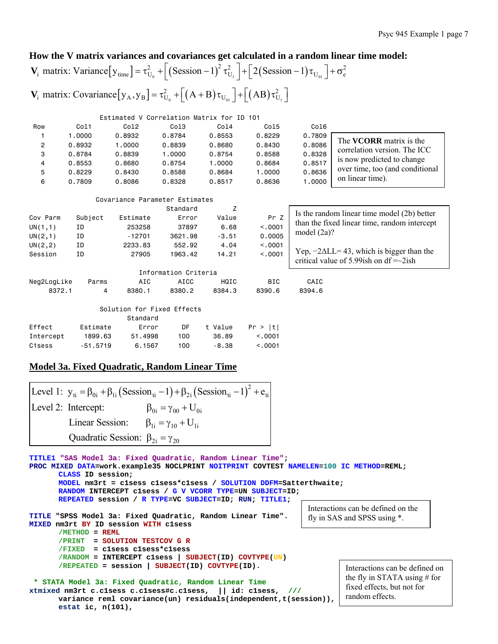Is the random linear time model (2b) better than the fixed linear time, random intercept

Yep,  $-2ΔLL = 43$ , which is bigger than the critical value of 5.99ish on df  $=\sim 2$ ish

model (2a)?

### **How the V matrix variances and covariances get calculated in a random linear time model:**

#### $\left[ y_{\text{time}} \right] = \tau_{U_0}^2 + \left[ \left( \text{Session} - 1 \right)^2 \tau_{U_1}^2 \right] + \left[ 2 \left( \text{Session} - 1 \right) \tau_{U_{01}} \right]$  $[y_{A}, y_{B}] = \tau_{U_{0}}^{2} + \left[ (A + B) \tau_{U_{01}} \right] + \left[ (AB) \tau_{U_{1}}^{2} \right]$ 2  $\left[\left(\frac{1}{2}\right)^2 + \frac{1}{2}\right]$   $\left[\frac{1}{2}\left(\frac{1}{2}\right)\right]$ **V**<sub>i</sub> matrix: Variance  $[y_{time}] = \tau_{U_0}^2 + \left[ (Session - 1)^2 \tau_{U_1}^2 \right] + \left[ 2 (Session - 1) \tau_{U_{01}} \right] + \sigma_e^2$ 2  $\left[ (A + D)_{\tau} \right]$   $\left[ (AD)_{\tau} \right]$ **V**<sub>i</sub> matrix: Covariance  $[y_A, y_B] = \tau_{U_0}^2 + \left[ (A + B) \tau_{U_{01}} \right] + \left[ (AB) \tau_{U_1}^2 \right]$

Estimated V Correlation Matrix for ID 101

| Row | Col1   | Co12   | Co13   | Col4   | Co15   | Co16   |                                 |
|-----|--------|--------|--------|--------|--------|--------|---------------------------------|
|     | .0000  | 0.8932 | 0.8784 | 0.8553 | 0.8229 | 0.7809 |                                 |
| 2   | 0.8932 | .0000  | 0.8839 | 0.8680 | 0.8430 | 0.8086 | The <b>VCORR</b> matrix is the  |
| 3   | 0.8784 | 0.8839 | 1.0000 | 0.8754 | 0.8588 | 0.8328 | correlation version. The ICC    |
| 4   | 0.8553 | 0.8680 | 0.8754 | .0000  | 0.8684 | 0.8517 | is now predicted to change      |
| 5   | 0.8229 | 0.8430 | 0.8588 | 0.8684 | 1.0000 | 0.8636 | over time, too (and conditional |
| 6   | 0.7809 | 0.8086 | 0.8328 | 0.8517 | 0.8636 | .0000  | on linear time).                |

Covariance Parameter Estimates

|                     |            |                            | Standard             | Z       |          |                       |
|---------------------|------------|----------------------------|----------------------|---------|----------|-----------------------|
| Cov Parm            | Subject    | Estimate                   | Error                | Value   | Pr Z     | Is the rand           |
| ΙD<br>UN(1,1)       |            | 253258                     | 37897                | 6.68    | < 0.001  | than the f            |
| UN(2,1)             | ΙD         | $-12701$                   | 3621,98              | $-3.51$ | 0.0005   | model $(2\varepsilon$ |
| UN(2, 2)            | ΙD         | 2233.83                    | 552.92               | 4.04    | < 0.001  |                       |
| Session             | ΙD         | 27905                      | 1963.42              | 14.21   | < 0.0001 | Yep, $-2\Delta$       |
|                     |            |                            |                      |         |          | critical va           |
|                     |            |                            | Information Criteria |         |          |                       |
| Neg2LogLike         | Parms      | AIC                        | AICC                 | HQIC    | BIC      | CAIC                  |
| 8372.1              | 4          | 8380.1                     | 8380.2               | 8384.3  | 8390.6   | 8394.6                |
|                     |            |                            |                      |         |          |                       |
|                     |            | Solution for Fixed Effects |                      |         |          |                       |
|                     |            | Standard                   |                      |         |          |                       |
| Effect              | Estimate   | Error                      | DF                   | t Value | Pr >  t  |                       |
| Intercept           | 1899.63    | 51,4998                    | 100                  | 36.89   | < 0.0001 |                       |
| C <sub>1</sub> sess | $-51.5719$ | 6,1567                     | 100                  | $-8.38$ | < 0.0001 |                       |

### **Model 3a. Fixed Quadratic, Random Linear Time**

**estat ic, n(101),** 

|                     |                                               | [Level 1: $y_{ti} = \beta_{0i} + \beta_{1i} (Session_{ti} - 1) + \beta_{2i} (Session_{ti} - 1)^2 + e_{ti}$ ] |
|---------------------|-----------------------------------------------|--------------------------------------------------------------------------------------------------------------|
| Level 2: Intercept: |                                               | $\beta_{0i} = \gamma_{00} + U_{0i}$                                                                          |
|                     | Linear Session:                               | $\beta_{1i} = \gamma_{10} + U_{1i}$                                                                          |
|                     | Quadratic Session: $\beta_{2i} = \gamma_{20}$ |                                                                                                              |

**TITLE1 "SAS Model 3a: Fixed Quadratic, Random Linear Time"; PROC MIXED DATA=work.example35 NOCLPRINT NOITPRINT COVTEST NAMELEN=100 IC METHOD=REML; CLASS ID session; MODEL nm3rt = c1sess c1sess\*c1sess / SOLUTION DDFM=Satterthwaite; RANDOM INTERCEPT c1sess / G V VCORR TYPE=UN SUBJECT=ID; REPEATED session / R TYPE=VC SUBJECT=ID; RUN; TITLE1; TITLE "SPSS Model 3a: Fixed Quadratic, Random Linear Time". MIXED nm3rt BY ID session WITH c1sess /METHOD = REML /PRINT = SOLUTION TESTCOV G R /FIXED = c1sess c1sess\*c1sess /RANDOM = INTERCEPT c1sess | SUBJECT(ID) COVTYPE(UN) /REPEATED = session | SUBJECT(ID) COVTYPE(ID). \* STATA Model 3a: Fixed Quadratic, Random Linear Time xtmixed nm3rt c.c1sess c.c1sess#c.c1sess, || id: c1sess, /// variance reml covariance(un) residuals(independent,t(session)),**  Interactions can be defined on the fly in SAS and SPSS using \*. random effects.

Interactions can be defined on the fly in STATA using # for fixed effects, but not for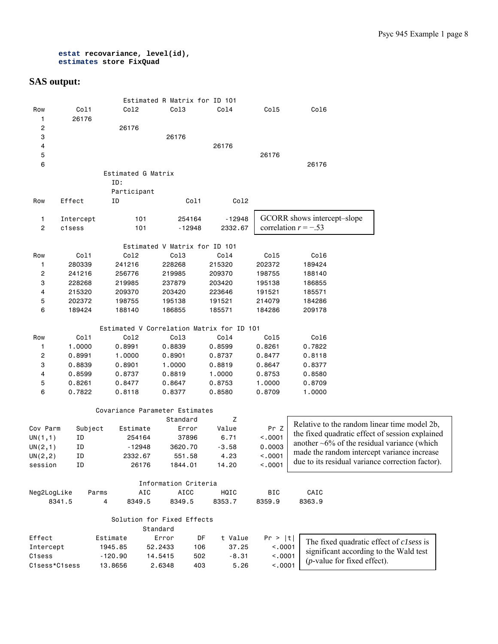```
estat recovariance, level(id), 
estimates store FixQuad
```

|                         |           |                                           | Estimated R Matrix for ID 101 |         |            |                                                    |  |
|-------------------------|-----------|-------------------------------------------|-------------------------------|---------|------------|----------------------------------------------------|--|
| Row                     | Col1      | Col2                                      | Col3                          | Col4    | Col5       | Col6                                               |  |
| 1                       | 26176     |                                           |                               |         |            |                                                    |  |
| $\overline{\mathbf{c}}$ |           | 26176                                     |                               |         |            |                                                    |  |
| 3                       |           |                                           | 26176                         |         |            |                                                    |  |
| 4                       |           |                                           |                               | 26176   |            |                                                    |  |
| 5                       |           |                                           |                               |         | 26176      |                                                    |  |
| 6                       |           |                                           |                               |         |            | 26176                                              |  |
|                         |           | Estimated G Matrix                        |                               |         |            |                                                    |  |
|                         |           | ID:                                       |                               |         |            |                                                    |  |
|                         |           | Participant                               |                               |         |            |                                                    |  |
| Row                     | Effect    | ΙD                                        | Col1                          | Co12    |            |                                                    |  |
|                         |           |                                           |                               |         |            |                                                    |  |
|                         |           | 101                                       |                               |         |            | GCORR shows intercept-slope                        |  |
| 1                       | Intercept |                                           | 254164                        | -12948  |            | correlation $r = -.53$                             |  |
| $\mathbf{2}$            | c1sess    | 101                                       | $-12948$                      | 2332.67 |            |                                                    |  |
|                         |           |                                           | Estimated V Matrix for ID 101 |         |            |                                                    |  |
| Row                     | Col1      | Col2                                      | Col3                          | Co14    | Col5       | Co16                                               |  |
| 1                       | 280339    | 241216                                    | 228268                        | 215320  | 202372     | 189424                                             |  |
| $\overline{c}$          | 241216    | 256776                                    | 219985                        | 209370  | 198755     | 188140                                             |  |
| 3                       | 228268    | 219985                                    | 237879                        | 203420  | 195138     | 186855                                             |  |
|                         |           |                                           |                               |         |            |                                                    |  |
| 4                       | 215320    | 209370                                    | 203420                        | 223646  | 191521     | 185571                                             |  |
| 5                       | 202372    | 198755                                    | 195138                        | 191521  | 214079     | 184286                                             |  |
| 6                       | 189424    | 188140                                    | 186855                        | 185571  | 184286     | 209178                                             |  |
|                         |           | Estimated V Correlation Matrix for ID 101 |                               |         |            |                                                    |  |
| Row                     | Col1      | Col2                                      | Col3                          | Col4    | Col5       | Col6                                               |  |
| 1                       | 1.0000    | 0.8991                                    | 0.8839                        | 0.8599  | 0.8261     | 0.7822                                             |  |
|                         |           |                                           |                               |         |            |                                                    |  |
| $\overline{c}$          | 0.8991    | 1.0000                                    | 0.8901                        | 0.8737  | 0.8477     | 0.8118                                             |  |
| 3                       | 0.8839    | 0.8901                                    | 1.0000                        | 0.8819  | 0.8647     | 0.8377                                             |  |
| 4                       | 0.8599    | 0.8737                                    | 0.8819                        | 1.0000  | 0.8753     | 0.8580                                             |  |
| 5                       | 0.8261    | 0.8477                                    | 0.8647                        | 0.8753  | 1.0000     | 0.8709                                             |  |
| 6                       | 0.7822    | 0.8118                                    | 0.8377                        | 0.8580  | 0.8709     | 1.0000                                             |  |
|                         |           | Covariance Parameter Estimates            |                               |         |            |                                                    |  |
|                         |           |                                           | Standard                      | Ζ       |            |                                                    |  |
| Cov Parm                | Subject   | Estimate                                  | Error                         | Value   | Pr Z       | Relative to the random linear time model 2b,       |  |
|                         | ΙD        |                                           |                               | 6.71    | < .0001    | the fixed quadratic effect of session explained    |  |
| UN(1,1)                 |           | 254164                                    | 37896                         |         |            | another $\sim 6\%$ of the residual variance (which |  |
| UN(2,1)                 | ID        | -12948                                    | 3620.70                       | $-3.58$ | 0.0003     | made the random intercept variance increase        |  |
| UN(2, 2)                | ΙD        | 2332.67                                   | 551.58                        | 4.23    | < .0001    | due to its residual variance correction factor).   |  |
| session                 | ΙD        | 26176                                     | 1844.01                       | 14.20   | < .0001    |                                                    |  |
|                         |           |                                           | Information Criteria          |         |            |                                                    |  |
| Neg2LogLike             | Parms     | AIC                                       | AICC                          | HQIC    | <b>BIC</b> | CAIC                                               |  |
| 8341.5                  |           | 4<br>8349.5                               | 8349.5                        | 8353.7  | 8359.9     | 8363.9                                             |  |
|                         |           |                                           |                               |         |            |                                                    |  |
|                         |           |                                           | Solution for Fixed Effects    |         |            |                                                    |  |
|                         |           |                                           | Standard                      |         |            |                                                    |  |
| Effect                  |           | Estimate                                  | Error<br>DF                   | t Value | Pr >  t    | The fixed quadratic effect of clsess is            |  |
| Intercept               |           | 1945.85                                   | 106<br>52.2433                | 37.25   | < .0001    | significant according to the Wald test             |  |
| C1sess                  |           | $-120.90$                                 | 14.5415<br>502                | $-8.31$ | < .0001    | $(p$ -value for fixed effect).                     |  |
| C1sess*C1sess           |           | 13.8656                                   | 403<br>2.6348                 | 5.26    | < .0001    |                                                    |  |
|                         |           |                                           |                               |         |            |                                                    |  |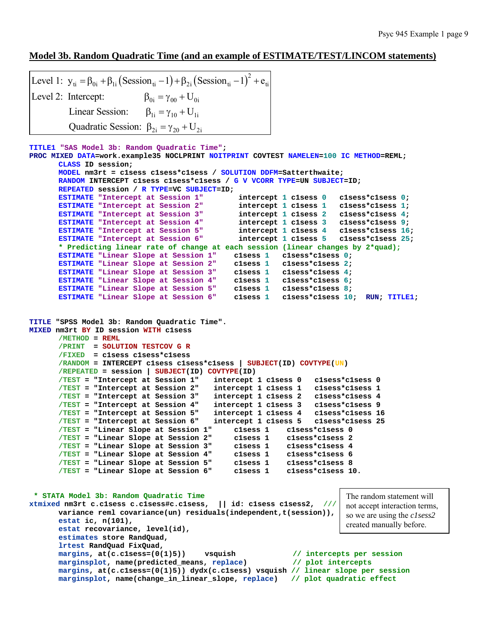### **Model 3b. Random Quadratic Time (and an example of ESTIMATE/TEST/LINCOM statements)**

```
(Session_{ti} - 1) + \beta_{2i} (Session_{ti} - 1)^2Level 1: y_{ti} = \beta_{0i} + \beta_{1i} (Session_{ti} - 1) + \beta_{2i} (Session_{ti} - 1)^{2} + e_{ti}\beta_{0i} = \gamma_{00} + U_{0i}\beta_{1i} = \gamma_{10} + U_{1i}Quadratic Session: \beta_{2i} = \gamma_{20} + U_{2i}Level 2: Intercept:
              Linear Session:
```

```
TITLE1 "SAS Model 3b: Random Quadratic Time";
```

```
PROC MIXED DATA=work.example35 NOCLPRINT NOITPRINT COVTEST NAMELEN=100 IC METHOD=REML; 
      CLASS ID session; 
       MODEL nm3rt = c1sess c1sess*c1sess / SOLUTION DDFM=Satterthwaite; 
       RANDOM INTERCEPT c1sess c1sess*c1sess / G V VCORR TYPE=UN SUBJECT=ID; 
       REPEATED session / R TYPE=VC SUBJECT=ID; 
       ESTIMATE "Intercept at Session 1" intercept 1 clsess 0 clsess*clsess 0;
       ESTIMATE "Intercept at Session 2" intercept 1 clsess 1 clsess*clsess 1;
       ESTIMATE "Intercept at Session 3" intercept 1 clsess 2 clsess*clsess 4;<br>ESTIMATE "Intercept at Session 4" intercept 1 clsess 3 clsess*clsess 9;
       ESTIMATE "Intercept at Session 4" intercept 1 clsess 3 clsess*clsess 9;<br>ESTIMATE "Intercept at Session 5" intercept 1 clsess 4 clsess*clsess 16;
      ESTIMATE "Intercept at Session 5" intercept 1 clsess 4 ESTIMATE "Intercept at Session 6" intercept 1 clsess 5
                                                intercept 1 c1sess 5 c1sess*c1sess 25;
       * Predicting linear rate of change at each session (linear changes by 2*quad);
       ESTIMATE "Linear Slope at Session 1" c1sess 1 c1sess*c1sess 0; 
       ESTIMATE "Linear Slope at Session 2" c1sess 1 c1sess*c1sess 2; 
       ESTIMATE "Linear Slope at Session 3" clsess 1 clsess*clsess 4;
       ESTIMATE "Linear Slope at Session 4" c1sess 1 c1sess*c1sess 6; 
       ESTIMATE "Linear Slope at Session 5" c1sess 1 c1sess*c1sess 8; 
       ESTIMATE "Linear Slope at Session 6" clsess 1 clsess*clsess 10; RUN; TITLE1;
TITLE "SPSS Model 3b: Random Quadratic Time". 
MIXED nm3rt BY ID session WITH c1sess 
       /METHOD = REML
        /PRINT = SOLUTION TESTCOV G R
        /FIXED = c1sess c1sess*c1sess 
        /RANDOM = INTERCEPT c1sess c1sess*c1sess | SUBJECT(ID) COVTYPE(UN) 
       /REPEATED = session | SUBJECT(ID) COVTYPE(ID) 
        /TEST = "Intercept at Session 1" intercept 1 c1sess 0 c1sess*c1sess 0 
       /TEST = "Intercept at Session 2" intercept 1 c1sess 1 c1sess*c1sess 1 
        /TEST = "Intercept at Session 3" intercept 1 c1sess 2 c1sess*c1sess 4 
       /TEST = "Intercept at Session 4" intercept 1 c1sess 3 c1sess*c1sess 9 
       /TEST = "Intercept at Session 5" intercept 1 c1sess 4 c1sess*c1sess 16 
       /TEST = "Intercept at Session 6" intercept 1 c1sess 5 c1sess*c1sess 25 
       /TEST = "Linear Slope at Session 1"
       /TEST = "Linear Slope at Session 2" c1sess 1 c1sess*c1sess 2 
       /TEST = "Linear Slope at Session 3" c1sess 1 c1sess*c1sess 4 
       /TEST = "Linear Slope at Session 4" c1sess 1 c1sess*c1sess 6 
       /TEST = "Linear Slope at Session 5" c1sess 1 c1sess*c1sess 8 
       /TEST = "Linear Slope at Session 6" c1sess 1 c1sess*c1sess 10. 
  * STATA Model 3b: Random Quadratic Time 
xtmixed nm3rt c.c1sess c.c1sess#c.c1sess, || id: c1sess c1sess2, /// 
       variance reml covariance(un) residuals(independent,t(session)), 
       estat ic, n(101), 
       estat recovariance, level(id), 
       estimates store RandQuad, 
       lrtest RandQuad FixQuad, 
      margins, at(c.c1sess=(0(1)5)) vsquish // intercepts per session 
       marginsplot, name(predicted_means, replace) // plot intercepts
       margins, at(c.c1sess=(0(1)5)) dydx(c.c1sess) vsquish // linear slope per session
                                                                           The random statement will 
                                                                           not accept interaction terms, 
                                                                           so we are using the c1sess2
                                                                           created manually before.
```
**marginsplot, name(change\_in\_linear\_slope, replace) // plot quadratic effect**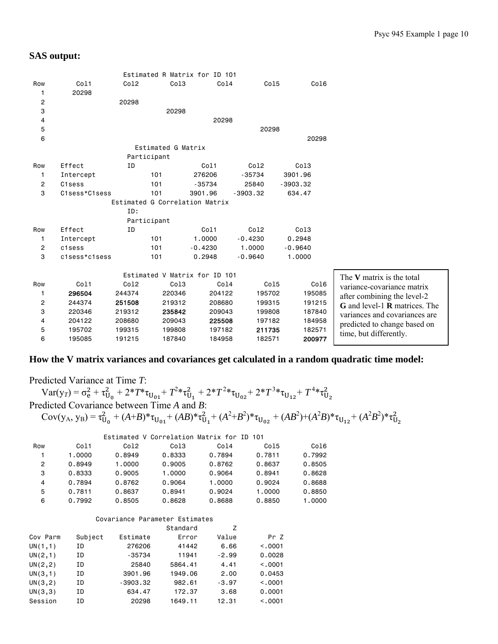|                |               |        |                                | Estimated R Matrix for ID 101 |                  |            |                                             |
|----------------|---------------|--------|--------------------------------|-------------------------------|------------------|------------|---------------------------------------------|
| Row            | Co11          | Co12   | Col <sub>3</sub>               | Col4                          | Co15             | Co16       |                                             |
| 1              | 20298         |        |                                |                               |                  |            |                                             |
| 2              |               | 20298  |                                |                               |                  |            |                                             |
| 3              |               |        | 20298                          |                               |                  |            |                                             |
| 4              |               |        |                                | 20298                         |                  |            |                                             |
| 5              |               |        |                                |                               | 20298            |            |                                             |
| 6              |               |        |                                |                               |                  | 20298      |                                             |
|                |               |        | Estimated G Matrix             |                               |                  |            |                                             |
|                |               |        | Participant                    |                               |                  |            |                                             |
| Row            | Effect        | ΙD     |                                | Col1                          | Col <sub>2</sub> | Co13       |                                             |
| 1              | Intercept     |        | 101                            | 276206                        | $-35734$         | 3901.96    |                                             |
| $\overline{2}$ | C1sess        |        | 101                            | $-35734$                      | 25840            | $-3903.32$ |                                             |
| 3              | C1sess*C1sess |        | 101                            | 3901.96                       | $-3903.32$       | 634.47     |                                             |
|                |               |        | Estimated G Correlation Matrix |                               |                  |            |                                             |
|                |               | ID:    |                                |                               |                  |            |                                             |
|                |               |        | Participant                    |                               |                  |            |                                             |
| Row            | Effect        | ID     |                                | Col1                          | Col <sub>2</sub> | Co13       |                                             |
| $\mathbf{1}$   | Intercept     |        | 101                            | 1,0000                        | $-0.4230$        | 0.2948     |                                             |
| $\overline{c}$ | c1sess        |        | 101                            | $-0.4230$                     | 1.0000           | $-0.9640$  |                                             |
| 3              | c1sess*c1sess |        | 101                            | 0.2948                        | $-0.9640$        | 1.0000     |                                             |
|                |               |        |                                |                               |                  |            |                                             |
|                |               |        |                                | Estimated V Matrix for ID 101 |                  |            | The V matrix is the total                   |
| Row            | Col1          | Co12   | Col <sub>3</sub>               | Col4                          | Co15             | Col6       | variance-covariance matrix                  |
| 1              | 296504        | 244374 | 220346                         | 204122                        | 195702           | 195085     | after combining the level-2                 |
| $\overline{c}$ | 244374        | 251508 | 219312                         | 208680                        | 199315           | 191215     | <b>G</b> and level-1 <b>R</b> matrices. The |
| 3              | 220346        | 219312 | 235842                         | 209043                        | 199808           | 187840     | variances and covariances are               |
| 4              | 204122        | 208680 | 209043                         | 225508                        | 197182           | 184958     | predicted to change based on                |
| 5              | 195702        | 199315 | 199808                         | 197182                        | 211735           | 182571     | time, but differently.                      |
| 6              | 195085        | 191215 | 187840                         | 184958                        | 182571           | 200977     |                                             |
|                |               |        |                                |                               |                  |            |                                             |

### **How the V matrix variances and covariances get calculated in a random quadratic time model:**

Predicted Variance at Time *T*:  $Var(y_T) = \sigma_e^2 + \tau_{U_0}^2 + 2^*T^*\tau_{U_{01}} + T^2*\tau_{U_1}^2 + 2^*T^2*\tau_{U_{02}} + 2^*T^3*\tau_{U_{12}} + T^4*\tau_{U_2}^2$ Predicted Covariance between Time *A* and *B*:  $Cov(y_A, y_B) = \tau_{U_0}^2 + (A+B)^* \tau_{U_{01}} + (AB)^* \tau_{U_1}^2 + (A^2+B^2)^* \tau_{U_{02}} + (AB^2) + (A^2B)^* \tau_{U_{12}} + (A^2B^2)^* \tau_{U_2}^2$  Estimated V Correlation Matrix for ID 101 Row Col1 Col2 Col3 Col4 Col5 Col6 1 1.0000 0.8949 0.8333 0.7894 0.7811 0.7992 2 0.8949 1.0000 0.9005 0.8762 0.8637 0.8505

|    | 0.8333 | 0.9005 | 1.0000 | 0.9064 | 0.8941 | 0.8628 |
|----|--------|--------|--------|--------|--------|--------|
| 4  | 0.7894 | 0.8762 | 0.9064 | 1.0000 | 0.9024 | 0.8688 |
| 5. | 0.7811 | 0.8637 | 0.8941 | 0.9024 | 1.0000 | 0.8850 |
| 6  | 0.7992 | 0.8505 | 0.8628 | 0.8688 | 0.8850 | 1.0000 |
|    |        |        |        |        |        |        |

#### Covariance Parameter Estimates

|          |         |            | Standard | Z       |          |
|----------|---------|------------|----------|---------|----------|
| Cov Parm | Subject | Estimate   | Error    | Value   | Pr Z     |
| UN(1,1)  | ΙD      | 276206     | 41442    | 6.66    | < 0.0001 |
| UN(2,1)  | ΙD      | $-35734$   | 11941    | $-2.99$ | 0.0028   |
| UN(2, 2) | ΙD      | 25840      | 5864.41  | 4.41    | < 0.001  |
| UN(3,1)  | ΙD      | 3901.96    | 1949.06  | 2.00    | 0.0453   |
| UN(3,2)  | ΙD      | $-3903.32$ | 982.61   | $-3.97$ | < 0.001  |
| UN(3,3)  | ΙD      | 634.47     | 172.37   | 3.68    | 0.0001   |
| Session  | ΙD      | 20298      | 1649.11  | 12.31   | < 0.001  |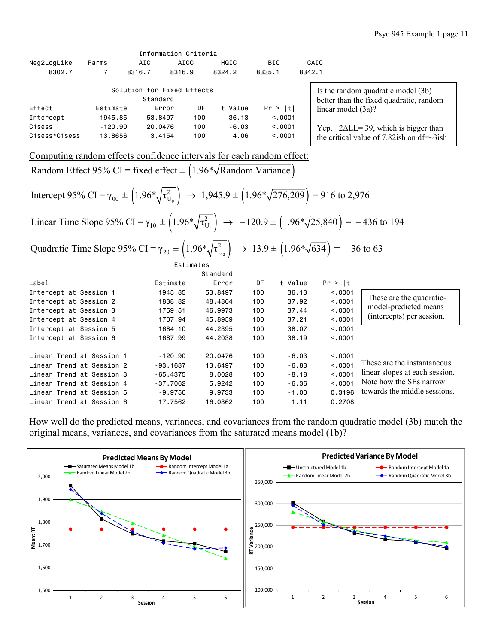|               |           |          | INTU MALIUM ULILEI IA      |         |          |        |                                                                               |
|---------------|-----------|----------|----------------------------|---------|----------|--------|-------------------------------------------------------------------------------|
| Neg2LogLike   | Parms     | AIC      | AICC                       | HQIC    | BIC.     |        | CAIC                                                                          |
| 8302.7        |           | 8316.7   | 8316.9                     | 8324.2  | 8335.1   | 8342.1 |                                                                               |
|               |           | Standard | Solution for Fixed Effects |         |          |        | Is the random quadratic model (3b)<br>better than the fixed quadratic, random |
| Effect        | Estimate  |          | DF<br>Error                | t Value | Pr >  t  |        | linear model $(3a)$ ?                                                         |
| Intercept     | 1945.85   |          | 100<br>53,8497             | 36.13   | < 0.0001 |        |                                                                               |
| C1sess        | $-120.90$ |          | 20,0476<br>100             | $-6.03$ | < 0.0001 |        | Yep, $-2\Delta L L = 39$ , which is bigger than                               |
| C1sess*C1sess | 13,8656   |          | 3.4154<br>100              | 4.06    | < 0.001  |        | the critical value of 7.82ish on $df = \sim 3$ ish                            |

Computing random effects confidence intervals for each random effect:

Information Criteria

Random Effect 95% CI = fixed effect  $\pm$  (1.96\* $\sqrt{\text{Random Variance}}$ )

 $(1.96*\sqrt{\tau_{U_0}}) \rightarrow 1,945.9 \pm (1.96*\sqrt{276,209})$ 2 Intercept 95% CI =  $\gamma_{00} \pm (1.96 \sqrt[4]{\tau_{U_0}^2}) \rightarrow 1,945.9 \pm (1.96 \sqrt[4]{276,209}) = 916$  to 2,976

 $(1.96*\sqrt{\tau_{U_1}}) \rightarrow -120.9 \pm (1.96*\sqrt{25,840})$ 2 Linear Time Slope 95% CI =  $\gamma_{10} \pm (1.96 \sqrt[4]{\tau_{U_1}^2}) \rightarrow -120.9 \pm (1.96 \sqrt[4]{25,840}) = -436$  to 194

 $\left(1.96*\sqrt{\tau_{U_2}^2}\right) \rightarrow 13.9 \pm \left(1.96*\sqrt{634}\right)$ Quadratic Time Slope 95% CI =  $\gamma_{20} \pm (1.96 \sqrt[4]{\tau_{U_2}^2}) \rightarrow 13.9 \pm (1.96 \sqrt[4]{634}) = -36$  to 63 Estimates

|                           |            | Standard |     |         |          |                                |
|---------------------------|------------|----------|-----|---------|----------|--------------------------------|
| Label                     | Estimate   | Error    | DF  | t Value | Pr >  t  |                                |
| Intercept at Session 1    | 1945.85    | 53,8497  | 100 | 36.13   | < 0.0001 |                                |
| Intercept at Session 2    | 1838.82    | 48,4864  | 100 | 37.92   | < 0.0001 | These are the quadratic-       |
| Intercept at Session 3    | 1759.51    | 46,9973  | 100 | 37.44   | < 0.001  | model-predicted means          |
| Intercept at Session 4    | 1707.94    | 45,8959  | 100 | 37.21   | < 0.0001 | (intercepts) per session.      |
| Intercept at Session 5    | 1684.10    | 44.2395  | 100 | 38.07   | < 0.001  |                                |
| Intercept at Session 6    | 1687.99    | 44.2038  | 100 | 38.19   | < 0.0001 |                                |
| Linear Trend at Session 1 | $-120.90$  | 20.0476  | 100 | $-6.03$ | < 0.0001 |                                |
| Linear Trend at Session 2 | -93.1687   | 13,6497  | 100 | $-6.83$ | < 0.001  | These are the instantaneous    |
| Linear Trend at Session 3 | $-65.4375$ | 8,0028   | 100 | $-8.18$ | < 0.001  | linear slopes at each session. |
| Linear Trend at Session 4 | - 37.7062  | 5.9242   | 100 | $-6.36$ | < 0.001  | Note how the SEs narrow        |
| Linear Trend at Session 5 | $-9.9750$  | 9,9733   | 100 | $-1.00$ | 0.3196   | towards the middle sessions.   |
| Linear Trend at Session 6 | 17.7562    | 16.0362  | 100 | 1.11    | 0.2708   |                                |

How well do the predicted means, variances, and covariances from the random quadratic model (3b) match the original means, variances, and covariances from the saturated means model (1b)?

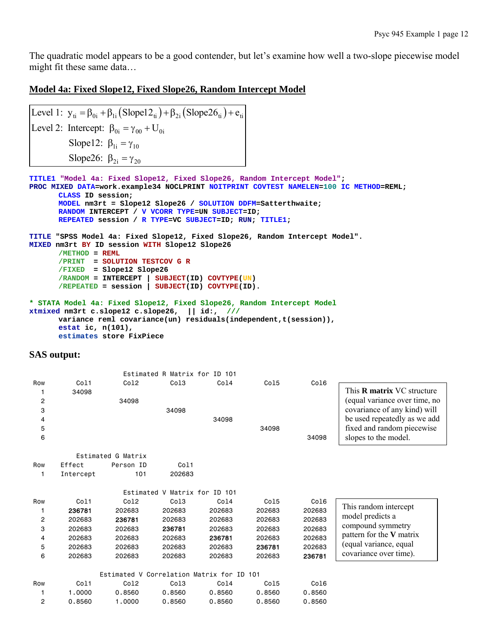The quadratic model appears to be a good contender, but let's examine how well a two-slope piecewise model might fit these same data…

### **Model 4a: Fixed Slope12, Fixed Slope26, Random Intercept Model**

Level 1:  $y_{ti} = \beta_{0i} + \beta_{1i} (Slope12_{ti}) + \beta_{2i} (Slope26_{ti}) + e_{ti}$ Level 2: Intercept:  $\beta_{0i} = \gamma_{00} + U_{0i}$ Slope12:  $\beta_{1i} = \gamma_{10}$ Slope26:  $\beta_{2i} = \gamma_{20}$ 

```
TITLE1 "Model 4a: Fixed Slope12, Fixed Slope26, Random Intercept Model"; 
PROC MIXED DATA=work.example34 NOCLPRINT NOITPRINT COVTEST NAMELEN=100 IC METHOD=REML; 
      CLASS ID session; 
      MODEL nm3rt = Slope12 Slope26 / SOLUTION DDFM=Satterthwaite; 
      RANDOM INTERCEPT / V VCORR TYPE=UN SUBJECT=ID; 
      REPEATED session / R TYPE=VC SUBJECT=ID; RUN; TITLE1; 
TITLE "SPSS Model 4a: Fixed Slope12, Fixed Slope26, Random Intercept Model". 
MIXED nm3rt BY ID session WITH Slope12 Slope26 
      /METHOD = REML
       /PRINT = SOLUTION TESTCOV G R
       /FIXED = Slope12 Slope26 
       /RANDOM = INTERCEPT | SUBJECT(ID) COVTYPE(UN) 
      /REPEATED = session | SUBJECT(ID) COVTYPE(ID). 
* STATA Model 4a: Fixed Slope12, Fixed Slope26, Random Intercept Model 
xtmixed nm3rt c.slope12 c.slope26, || id:, /// 
      variance reml covariance(un) residuals(independent,t(session)),
```

```
SAS output:
```
**estat ic, n(101),** 

**estimates store FixPiece** 

|                |           |                    | Estimated R Matrix for ID 101 |        |        |        |                                   |
|----------------|-----------|--------------------|-------------------------------|--------|--------|--------|-----------------------------------|
| Row            | Co11      | Co12               | Col <sub>3</sub>              | Col4   | Col5   | Co16   |                                   |
|                | 34098     |                    |                               |        |        |        | This <b>R</b> matrix VC structure |
| $\overline{c}$ |           | 34098              |                               |        |        |        | (equal variance over time, no     |
| 3              |           |                    | 34098                         |        |        |        | covariance of any kind) will      |
| 4              |           |                    |                               | 34098  |        |        | be used repeatedly as we add      |
| 5              |           |                    |                               |        | 34098  |        | fixed and random piecewise        |
| 6              |           |                    |                               |        |        | 34098  | slopes to the model.              |
|                |           |                    |                               |        |        |        |                                   |
|                |           | Estimated G Matrix |                               |        |        |        |                                   |
| Row            | Effect    | Person ID          | Col1                          |        |        |        |                                   |
| 1              | Intercept | 101                | 202683                        |        |        |        |                                   |
|                |           |                    |                               |        |        |        |                                   |
|                |           |                    | Estimated V Matrix for ID 101 |        |        |        |                                   |
| Row            | Co11      | Co12               | Col <sub>3</sub>              | Col4   | Col5   | Co16   | This random intercept             |
| 1              | 236781    | 202683             | 202683                        | 202683 | 202683 | 202683 | model predicts a                  |
| 2              | 202683    | 236781             | 202683                        | 202683 | 202683 | 202683 |                                   |
| 3              | 202683    | 202683             | 236781                        | 202683 | 202683 | 202683 | compound symmetry                 |
| 4              | 202683    | 202683             | 202683                        | 236781 | 202683 | 202683 | pattern for the V matrix          |
| 5              | 202683    | 202683             | 202683                        | 202683 | 236781 | 202683 | (equal variance, equal            |
| 6              | 202683    | 202683             | 202683                        | 202683 | 202683 | 236781 | covariance over time).            |
|                |           |                    |                               |        |        |        |                                   |
|                |           | Estimated V        | Correlation Matrix for ID 101 |        |        |        |                                   |
| Row            | Co11      | Co12               | Col <sub>3</sub>              | Col4   | Col5   | Co16   |                                   |
| 1              | 1,0000    | 0.8560             | 0.8560                        | 0.8560 | 0.8560 | 0.8560 |                                   |
| $\overline{2}$ | 0.8560    | 1,0000             | 0.8560                        | 0.8560 | 0.8560 | 0.8560 |                                   |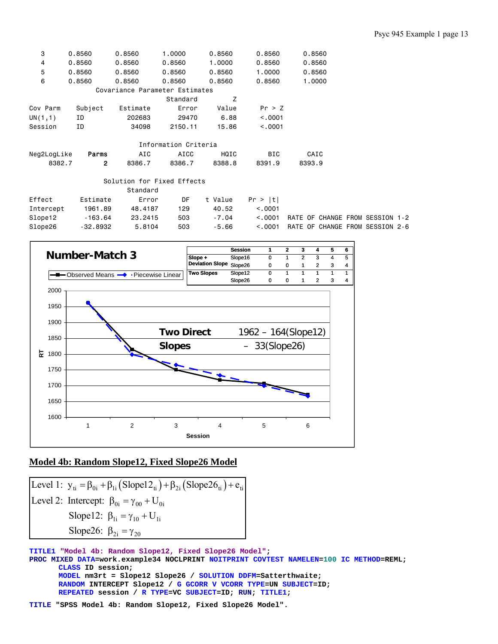| 0.8560                          |
|---------------------------------|
| 0.8560                          |
| 0.8560                          |
| 1.0000                          |
|                                 |
|                                 |
|                                 |
|                                 |
|                                 |
|                                 |
|                                 |
| CAIC                            |
| 8393.9                          |
|                                 |
|                                 |
|                                 |
|                                 |
| RATE OF CHANGE FROM SESSION 1-2 |
| RATE OF CHANGE FROM SESSION 2-6 |
|                                 |



### **Model 4b: Random Slope12, Fixed Slope26 Model**

Level 1:  $y_{ti} = \beta_{0i} + \beta_{1i} (Slope12_{ti}) + \beta_{2i} (Slope26_{ti}) + e_{ti}$ Level 2: Intercept:  $\beta_{0i} = \gamma_{00} + U_{0i}$ Slope12:  $\beta_{1i} = \gamma_{10} + U_{1i}$ Slope26:  $\beta_{2i} = \gamma_{20}$ 

**TITLE1 "Model 4b: Random Slope12, Fixed Slope26 Model"; PROC MIXED DATA=work.example34 NOCLPRINT NOITPRINT COVTEST NAMELEN=100 IC METHOD=REML; CLASS ID session; MODEL nm3rt = Slope12 Slope26 / SOLUTION DDFM=Satterthwaite; RANDOM INTERCEPT Slope12 / G GCORR V VCORR TYPE=UN SUBJECT=ID; REPEATED session / R TYPE=VC SUBJECT=ID; RUN; TITLE1;** 

**TITLE "SPSS Model 4b: Random Slope12, Fixed Slope26 Model".**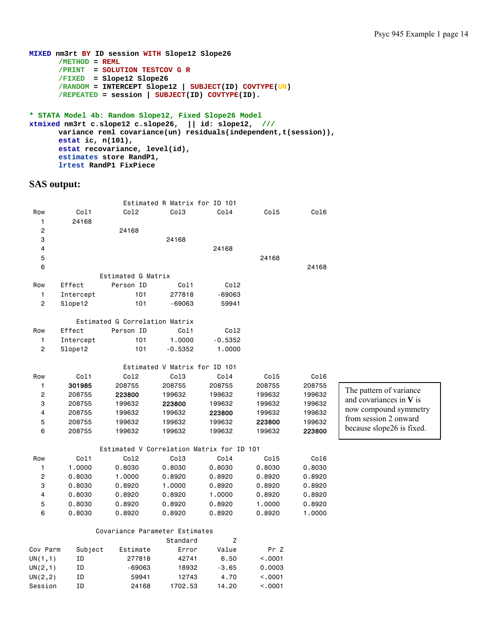```
MIXED nm3rt BY ID session WITH Slope12 Slope26 
      /METHOD = REML
       /PRINT = SOLUTION TESTCOV G R
       /FIXED = Slope12 Slope26 
        /RANDOM = INTERCEPT Slope12 | SUBJECT(ID) COVTYPE(UN) 
       /REPEATED = session | SUBJECT(ID) COVTYPE(ID). 
* STATA Model 4b: Random Slope12, Fixed Slope26 Model
```

```
xtmixed nm3rt c.slope12 c.slope26, || id: slope12, /// 
 variance reml covariance(un) residuals(independent,t(session)), 
     estat ic, n(101), 
      estat recovariance, level(id), 
      estimates store RandP1, 
      lrtest RandP1 FixPiece
```

|                         |           |                                           | Estimated R Matrix for ID 101 |             |         |        |                           |
|-------------------------|-----------|-------------------------------------------|-------------------------------|-------------|---------|--------|---------------------------|
| Row                     | Col1      | Co12                                      | Co13                          | Co14        | Co15    | Col6   |                           |
| $\mathbf{1}$            | 24168     |                                           |                               |             |         |        |                           |
| $\overline{\mathbf{c}}$ |           | 24168                                     |                               |             |         |        |                           |
| 3                       |           |                                           | 24168                         |             |         |        |                           |
| $\overline{4}$          |           |                                           |                               | 24168       |         |        |                           |
| 5                       |           |                                           |                               |             | 24168   |        |                           |
| 6                       |           |                                           |                               |             |         | 24168  |                           |
|                         |           | Estimated G Matrix                        |                               |             |         |        |                           |
| Row                     | Effect    | Person ID                                 | Col1                          | Co12        |         |        |                           |
| $\mathbf{1}$            | Intercept | 101                                       | 277818                        | $-69063$    |         |        |                           |
| $\mathbf{2}$            | Slope12   | 101                                       | $-69063$                      | 59941       |         |        |                           |
|                         |           | Estimated G Correlation Matrix            |                               |             |         |        |                           |
| Row                     | Effect    | Person ID                                 | Col1                          | Co12        |         |        |                           |
| $\mathbf{1}$            | Intercept | 101                                       | 1.0000                        | $-0.5352$   |         |        |                           |
| $\mathbf{2}$            | Slope12   | 101                                       | $-0.5352$                     | 1.0000      |         |        |                           |
|                         |           |                                           | Estimated V Matrix for ID 101 |             |         |        |                           |
| Row                     | Co11      | Co12                                      | Co13                          | Co14        | Co15    | Col6   |                           |
| $\mathbf{1}$            | 301985    | 208755                                    | 208755                        | 208755      | 208755  | 208755 |                           |
| $\overline{c}$          | 208755    | 223800                                    | 199632                        | 199632      | 199632  | 199632 | The pattern of variance   |
| 3                       | 208755    | 199632                                    | 223800                        | 199632      | 199632  | 199632 | and covariances in $V$ is |
| 4                       | 208755    | 199632                                    | 199632                        | 223800      | 199632  | 199632 | now compound symmetry     |
| 5                       | 208755    | 199632                                    | 199632                        | 199632      | 223800  | 199632 | from session 2 onward     |
| 6                       | 208755    | 199632                                    | 199632                        | 199632      | 199632  | 223800 | because slope26 is fixed. |
|                         |           | Estimated V Correlation Matrix for ID 101 |                               |             |         |        |                           |
| Row                     | Col1      | Co12                                      | Co13                          | Co14        | Col5    | Col6   |                           |
| 1                       | 1.0000    | 0.8030                                    | 0.8030                        | 0.8030      | 0.8030  | 0.8030 |                           |
| $\overline{c}$          | 0.8030    | 1.0000                                    | 0.8920                        | 0.8920      | 0.8920  | 0.8920 |                           |
| 3                       | 0.8030    | 0.8920                                    | 1.0000                        | 0.8920      | 0.8920  | 0.8920 |                           |
| 4                       | 0.8030    | 0.8920                                    | 0.8920                        | 1.0000      | 0.8920  | 0.8920 |                           |
| 5                       | 0.8030    | 0.8920                                    | 0.8920                        | 0.8920      | 1.0000  | 0.8920 |                           |
| 6                       | 0.8030    | 0.8920                                    | 0.8920                        | 0.8920      | 0.8920  | 1.0000 |                           |
|                         |           | Covariance Parameter Estimates            |                               |             |         |        |                           |
|                         |           |                                           | Standard                      | $\mathsf Z$ |         |        |                           |
| Cov Parm                | Subject   | Estimate                                  | Error                         | Value       | Pr Z    |        |                           |
| UN(1,1)                 | ΙD        | 277818                                    | 42741                         | 6.50        | < .0001 |        |                           |
| UN(2,1)                 | ΙD        | -69063                                    | 18932                         | $-3.65$     | 0.0003  |        |                           |
| UN(2,2)                 | ID        | 59941                                     | 12743                         | 4.70        | < .0001 |        |                           |
| Session                 | ΙD        | 24168                                     | 1702.53                       | 14.20       | < .0001 |        |                           |
|                         |           |                                           |                               |             |         |        |                           |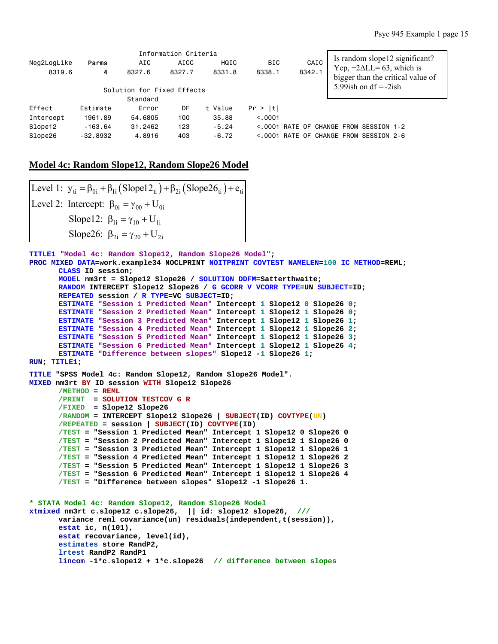|             |            |                            | Information Criteria |         |            |        |      |                                                                                                         |  |
|-------------|------------|----------------------------|----------------------|---------|------------|--------|------|---------------------------------------------------------------------------------------------------------|--|
| Neg2LogLike | Parms      | AIC                        | AICC                 | HQIC    | <b>BIC</b> |        | CAIC | Is random slope12 significant?                                                                          |  |
| 8319.6      | 4          | 8327.6                     | 8327.7               | 8331.8  | 8338.1     | 8342.1 |      | Yep, $-2\Delta LL = 63$ , which is<br>bigger than the critical value of<br>5.99 ish on df $=\sim 2$ ish |  |
|             |            | Solution for Fixed Effects |                      |         |            |        |      |                                                                                                         |  |
|             |            | Standard                   |                      |         |            |        |      |                                                                                                         |  |
| Effect      | Estimate   | Error                      | DF                   | t Value | Pr >  t    |        |      |                                                                                                         |  |
| Intercept   | 1961.89    | 54,6805                    | 100                  | 35.88   | < 0.001    |        |      |                                                                                                         |  |
| Slope12     | $-163.64$  | 31,2462                    | 123                  | $-5.24$ | < 0.001    |        |      | RATE OF CHANGE FROM SESSION 1-2                                                                         |  |
| Slope26     | $-32,8932$ | 4.8916                     | 403                  | $-6.72$ | < 0.001    |        |      | RATE OF CHANGE FROM SESSION 2-6                                                                         |  |

### **Model 4c: Random Slope12, Random Slope26 Model**

```
Level 1: y_{ti} = \beta_{0i} + \beta_{1i} (Slope12_{ti}) + \beta_{2i} (Slope26_{ti}) + e_{ti}Level 2: Intercept: \beta_{0i} = \gamma_{00} + U_{0i}Slope12: \beta_{1i} = \gamma_{10} + U_{1i}Slope26: \beta_{2i} = \gamma_{20} + U_{2i}
```

```
TITLE1 "Model 4c: Random Slope12, Random Slope26 Model"; 
PROC MIXED DATA=work.example34 NOCLPRINT NOITPRINT COVTEST NAMELEN=100 IC METHOD=REML; 
       CLASS ID session; 
       MODEL nm3rt = Slope12 Slope26 / SOLUTION DDFM=Satterthwaite; 
       RANDOM INTERCEPT Slope12 Slope26 / G GCORR V VCORR TYPE=UN SUBJECT=ID; 
       REPEATED session / R TYPE=VC SUBJECT=ID; 
       ESTIMATE "Session 1 Predicted Mean" Intercept 1 Slope12 0 Slope26 0; 
       ESTIMATE "Session 2 Predicted Mean" Intercept 1 Slope12 1 Slope26 0; 
       ESTIMATE "Session 3 Predicted Mean" Intercept 1 Slope12 1 Slope26 1; 
      ESTIMATE "Session 4 Predicted Mean" Intercept 1 Slope12 1 Slope26 2; 
       ESTIMATE "Session 5 Predicted Mean" Intercept 1 Slope12 1 Slope26 3; 
       ESTIMATE "Session 6 Predicted Mean" Intercept 1 Slope12 1 Slope26 4; 
       ESTIMATE "Difference between slopes" Slope12 -1 Slope26 1; 
RUN; TITLE1; 
TITLE "SPSS Model 4c: Random Slope12, Random Slope26 Model". 
MIXED nm3rt BY ID session WITH Slope12 Slope26 
       /METHOD = REML
        /PRINT = SOLUTION TESTCOV G R
        /FIXED = Slope12 Slope26 
        /RANDOM = INTERCEPT Slope12 Slope26 | SUBJECT(ID) COVTYPE(UN) 
       /REPEATED = session | SUBJECT(ID) COVTYPE(ID) 
       /TEST = "Session 1 Predicted Mean" Intercept 1 Slope12 0 Slope26 0 
       /TEST = "Session 2 Predicted Mean" Intercept 1 Slope12 1 Slope26 0 
       /TEST = "Session 3 Predicted Mean" Intercept 1 Slope12 1 Slope26 1 
       /TEST = "Session 4 Predicted Mean" Intercept 1 Slope12 1 Slope26 2 
       /TEST = "Session 5 Predicted Mean" Intercept 1 Slope12 1 Slope26 3 
       /TEST = "Session 6 Predicted Mean" Intercept 1 Slope12 1 Slope26 4 
       /TEST = "Difference between slopes" Slope12 -1 Slope26 1. 
* STATA Model 4c: Random Slope12, Random Slope26 Model 
xtmixed nm3rt c.slope12 c.slope26, || id: slope12 slope26, /// 
        variance reml covariance(un) residuals(independent,t(session)), 
       estat ic, n(101), 
       estat recovariance, level(id), 
       estimates store RandP2, 
       lrtest RandP2 RandP1 
       lincom -1*c.slope12 + 1*c.slope26 // difference between slopes
```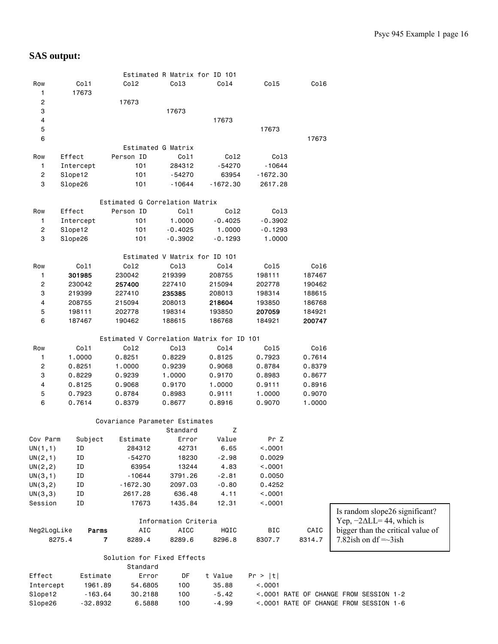|                         |             |                                           | Estimated R Matrix for ID 101 |            |            |        |                                                                       |
|-------------------------|-------------|-------------------------------------------|-------------------------------|------------|------------|--------|-----------------------------------------------------------------------|
| Row                     | Col1        | Co12                                      | Col3                          | Col4       | Co15       | Co16   |                                                                       |
| 1                       | 17673       |                                           |                               |            |            |        |                                                                       |
| $\overline{\mathbf{c}}$ |             | 17673                                     |                               |            |            |        |                                                                       |
| 3                       |             |                                           | 17673                         |            |            |        |                                                                       |
| 4                       |             |                                           |                               | 17673      |            |        |                                                                       |
| $\mathbf 5$             |             |                                           |                               |            | 17673      |        |                                                                       |
| 6                       |             |                                           |                               |            |            | 17673  |                                                                       |
|                         |             | Estimated G Matrix                        |                               |            |            |        |                                                                       |
| Row                     | Effect      | Person ID                                 | Col1                          | Col2       | Col3       |        |                                                                       |
| $\mathbf{1}$            | Intercept   | 101                                       | 284312                        | $-54270$   | $-10644$   |        |                                                                       |
| $\overline{c}$          | Slope12     | 101                                       | -54270                        | 63954      | $-1672.30$ |        |                                                                       |
| 3                       | Slope26     | 101                                       | -10644                        | $-1672.30$ | 2617.28    |        |                                                                       |
|                         |             |                                           |                               |            |            |        |                                                                       |
|                         |             | Estimated G Correlation Matrix            |                               |            |            |        |                                                                       |
| Row                     | Effect      | Person ID                                 | Col1                          | Col2       | Col3       |        |                                                                       |
| 1                       | Intercept   | 101                                       | 1.0000                        | $-0.4025$  | $-0.3902$  |        |                                                                       |
| 2                       | Slope12     | 101                                       | $-0.4025$                     | 1.0000     | $-0.1293$  |        |                                                                       |
| 3                       | Slope26     | 101                                       | $-0.3902$                     | $-0.1293$  | 1.0000     |        |                                                                       |
|                         |             |                                           |                               |            |            |        |                                                                       |
|                         |             |                                           | Estimated V Matrix for ID 101 |            |            |        |                                                                       |
| Row                     | Col1        | Co12                                      | Col3                          | Co14       | Co15       | Col6   |                                                                       |
| 1                       | 301985      | 230042                                    | 219399                        | 208755     | 198111     | 187467 |                                                                       |
| $\overline{\mathbf{c}}$ | 230042      | 257400                                    | 227410                        | 215094     | 202778     | 190462 |                                                                       |
| 3                       | 219399      | 227410                                    | 235385                        | 208013     | 198314     | 188615 |                                                                       |
| 4                       | 208755      | 215094                                    | 208013                        | 218604     | 193850     | 186768 |                                                                       |
| 5                       | 198111      | 202778                                    | 198314                        | 193850     | 207059     | 184921 |                                                                       |
| 6                       | 187467      | 190462                                    | 188615                        | 186768     | 184921     | 200747 |                                                                       |
|                         |             |                                           |                               |            |            |        |                                                                       |
|                         |             | Estimated V Correlation Matrix for ID 101 |                               |            |            |        |                                                                       |
| Row                     | Col1        | Co12                                      | Col3                          | Co14       | Col5       | Col6   |                                                                       |
| 1                       | 1.0000      | 0.8251                                    | 0.8229                        | 0.8125     | 0.7923     | 0.7614 |                                                                       |
| $\overline{c}$          | 0.8251      | 1.0000                                    | 0.9239                        | 0.9068     | 0.8784     | 0.8379 |                                                                       |
| 3                       | 0.8229      | 0.9239                                    | 1.0000                        | 0.9170     | 0.8983     | 0.8677 |                                                                       |
| 4                       | 0.8125      | 0.9068                                    | 0.9170                        | 1.0000     | 0.9111     | 0.8916 |                                                                       |
| 5                       | 0.7923      | 0.8784                                    | 0.8983                        | 0.9111     | 1.0000     | 0.9070 |                                                                       |
| 6                       | 0.7614      | 0.8379                                    | 0.8677                        | 0.8916     | 0.9070     | 1.0000 |                                                                       |
|                         |             |                                           |                               |            |            |        |                                                                       |
|                         |             | Covariance Parameter Estimates            |                               |            |            |        |                                                                       |
|                         |             |                                           | Standard                      | z          |            |        |                                                                       |
| Cov Parm                | Subject     | Estimate                                  | Error                         | Value      | Pr Z       |        |                                                                       |
| UN(1,1)                 | ΙD          | 284312                                    | 42731                         | 6.65       | < .0001    |        |                                                                       |
| UN(2,1)                 | ΙD          | $-54270$                                  | 18230                         | $-2.98$    | 0.0029     |        |                                                                       |
| UN(2, 2)                | ID          | 63954                                     | 13244                         | 4.83       | < 0001     |        |                                                                       |
| UN(3,1)                 | ID          | $-10644$                                  | 3791.26                       | $-2.81$    | 0.0050     |        |                                                                       |
| UN(3,2)                 | ID          | $-1672.30$                                | 2097.03                       | $-0.80$    | 0.4252     |        |                                                                       |
| UN(3,3)                 | ID          | 2617.28                                   | 636.48                        | 4.11       | < .0001    |        |                                                                       |
| Session                 | ID          | 17673                                     | 1435.84                       | 12.31      | < .0001    |        |                                                                       |
|                         |             |                                           | Information Criteria          |            |            |        | Is random slope26 significant?<br>Yep, $-2\Delta L L = 44$ , which is |
| Neg2LogLike             | Parms       | AIC                                       | <b>AICC</b>                   | HQIC       | BIC        | CAIC   | bigger than the critical value of                                     |
|                         | 8275.4<br>7 | 8289.4                                    | 8289.6                        | 8296.8     | 8307.7     | 8314.7 | 7.82ish on df $=\sim$ 3ish                                            |
|                         |             |                                           |                               |            |            |        |                                                                       |
|                         |             | Solution for Fixed Effects                |                               |            |            |        |                                                                       |
|                         |             | Standard                                  |                               |            |            |        |                                                                       |
| Effect                  | Estimate    | Error                                     | DF                            | t Value    | Pr >  t    |        |                                                                       |
| Intercept               | 1961.89     | 54.6805                                   | 100                           | 35.88      | < .0001    |        |                                                                       |
| Slope12                 | $-163.64$   | 30.2188                                   | 100                           | $-5.42$    |            |        | <. 0001 RATE OF CHANGE FROM SESSION 1-2                               |
| Slope26                 | $-32.8932$  | 6.5888                                    | 100                           | $-4.99$    |            |        | <. 0001 RATE OF CHANGE FROM SESSION 1-6                               |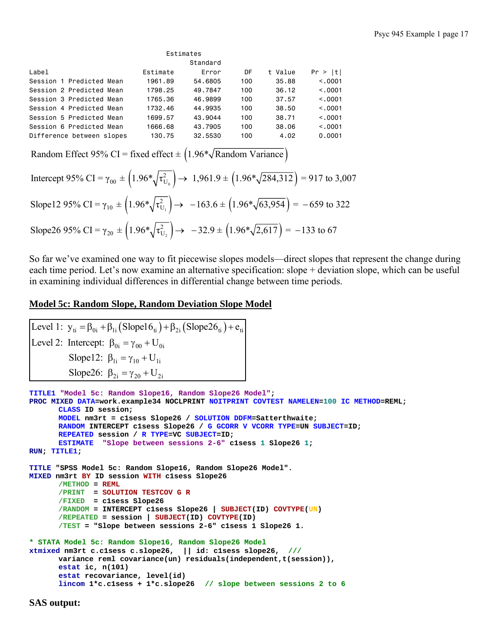|                           | Estimates |         |     |         |          |  |  |  |  |
|---------------------------|-----------|---------|-----|---------|----------|--|--|--|--|
|                           | Standard  |         |     |         |          |  |  |  |  |
| Label                     | Estimate  | Error   | DF  | t Value | Pr >  t  |  |  |  |  |
| Session 1 Predicted Mean  | 1961.89   | 54.6805 | 100 | 35.88   | < 0.0001 |  |  |  |  |
| Session 2 Predicted Mean  | 1798.25   | 49.7847 | 100 | 36.12   | < 0.001  |  |  |  |  |
| Session 3 Predicted Mean  | 1765.36   | 46.9899 | 100 | 37.57   | < 0.001  |  |  |  |  |
| Session 4 Predicted Mean  | 1732.46   | 44.9935 | 100 | 38.50   | < 0.001  |  |  |  |  |
| Session 5 Predicted Mean  | 1699.57   | 43.9044 | 100 | 38.71   | < 0.001  |  |  |  |  |
| Session 6 Predicted Mean  | 1666.68   | 43.7905 | 100 | 38.06   | < 0.0001 |  |  |  |  |
| Difference between slopes | 130.75    | 32,5530 | 100 | 4.02    | 0.0001   |  |  |  |  |

Random Effect 95% CI = fixed effect  $\pm$  (1.96\* $\sqrt{\text{Random Variance}}$ )

Intercept 95% CI = 
$$
\gamma_{00} \pm \left(1.96*\sqrt{\tau_{U_0}^2}\right) \rightarrow 1,961.9 \pm \left(1.96*\sqrt{284,312}\right) = 917
$$
 to 3,007  
\nSlope12 95% CI =  $\gamma_{10} \pm \left(1.96*\sqrt{\tau_{U_1}^2}\right) \rightarrow -163.6 \pm \left(1.96*\sqrt{63,954}\right) = -659$  to 322  
\nSlope26 95% CI =  $\gamma_{20} \pm \left(1.96*\sqrt{\tau_{U_2}^2}\right) \rightarrow -32.9 \pm \left(1.96*\sqrt{2,617}\right) = -133$  to 67

So far we've examined one way to fit piecewise slopes models—direct slopes that represent the change during each time period. Let's now examine an alternative specification: slope + deviation slope, which can be useful in examining individual differences in differential change between time periods.

### **Model 5c: Random Slope, Random Deviation Slope Model**

Level 1:  $y_{ti} = \beta_{0i} + \beta_{1i} (Slope16_{ti}) + \beta_{2i} (Slope26_{ti}) + e_{ti}$ Level 2: Intercept:  $\beta_{0i} = \gamma_{00} + U_{0i}$ Slope12:  $\beta_{1i} = \gamma_{10} + U_{1i}$ Slope26:  $\beta_{2i} = \gamma_{20} + U_{2i}$ 

```
TITLE1 "Model 5c: Random Slope16, Random Slope26 Model"; 
PROC MIXED DATA=work.example34 NOCLPRINT NOITPRINT COVTEST NAMELEN=100 IC METHOD=REML; 
      CLASS ID session; 
      MODEL nm3rt = c1sess Slope26 / SOLUTION DDFM=Satterthwaite; 
      RANDOM INTERCEPT c1sess Slope26 / G GCORR V VCORR TYPE=UN SUBJECT=ID; 
      REPEATED session / R TYPE=VC SUBJECT=ID; 
      ESTIMATE "Slope between sessions 2-6" c1sess 1 Slope26 1; 
RUN; TITLE1; 
TITLE "SPSS Model 5c: Random Slope16, Random Slope26 Model". 
MIXED nm3rt BY ID session WITH c1sess Slope26 
      /METHOD = REML
        /PRINT = SOLUTION TESTCOV G R
       /FIXED = c1sess Slope26 
       /RANDOM = INTERCEPT c1sess Slope26 | SUBJECT(ID) COVTYPE(UN) 
      /REPEATED = session | SUBJECT(ID) COVTYPE(ID) 
       /TEST = "Slope between sessions 2-6" c1sess 1 Slope26 1. 
* STATA Model 5c: Random Slope16, Random Slope26 Model 
xtmixed nm3rt c.c1sess c.slope26, || id: c1sess slope26, /// 
      variance reml covariance(un) residuals(independent,t(session)),
       estat ic, n(101) 
       estat recovariance, level(id) 
       lincom 1*c.c1sess + 1*c.slope26 // slope between sessions 2 to 6
```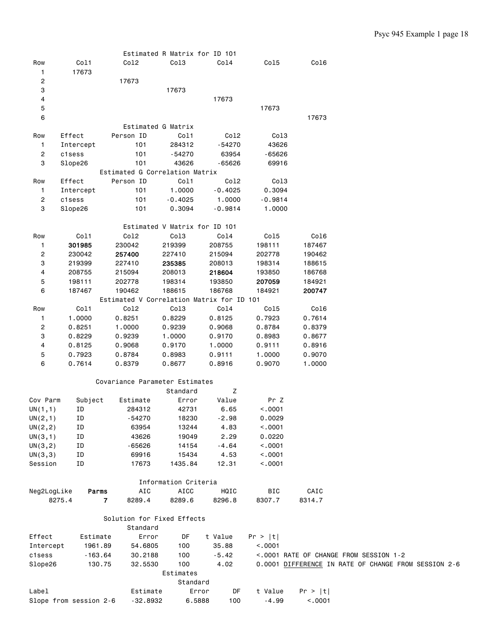|                    |                          |                                                     | Estimated R Matrix for ID 101 |           |                    |         |                                                      |
|--------------------|--------------------------|-----------------------------------------------------|-------------------------------|-----------|--------------------|---------|------------------------------------------------------|
| Row<br>1           | Col1<br>17673            | Co12                                                | Col3                          | Co14      | Co15               | Col6    |                                                      |
| $\overline{c}$     |                          | 17673                                               |                               |           |                    |         |                                                      |
| 3                  |                          |                                                     | 17673                         |           |                    |         |                                                      |
| 4                  |                          |                                                     |                               | 17673     |                    |         |                                                      |
| 5                  |                          |                                                     |                               |           | 17673              |         |                                                      |
| 6                  |                          |                                                     |                               |           |                    | 17673   |                                                      |
|                    |                          | Estimated G Matrix                                  |                               |           |                    |         |                                                      |
| Row                | Effect                   | Person ID                                           | Col1                          | Co12      | Col3               |         |                                                      |
| $\mathbf{1}$       | Intercept                | 101                                                 | 284312                        | $-54270$  | 43626              |         |                                                      |
| $\overline{c}$     | c1sess                   | 101                                                 | -54270                        | 63954     | $-65626$           |         |                                                      |
| 3                  | Slope26                  | 101                                                 | 43626                         | $-65626$  | 69916              |         |                                                      |
|                    | Effect                   | Estimated G Correlation Matrix<br>Person ID         | Col1                          | Co12      | Col3               |         |                                                      |
| Row<br>1           | Intercept                | 101                                                 | 1.0000                        | $-0.4025$ | 0.3094             |         |                                                      |
| $\overline{c}$     | c1sess                   | 101                                                 | $-0.4025$                     | 1.0000    | $-0.9814$          |         |                                                      |
| 3                  | Slope26                  | 101                                                 | 0.3094                        | $-0.9814$ | 1.0000             |         |                                                      |
|                    |                          |                                                     |                               |           |                    |         |                                                      |
|                    |                          |                                                     | Estimated V Matrix for ID 101 |           |                    |         |                                                      |
| Row                | Col1                     | Co12                                                | Col3                          | Co14      | Col5               | Co16    |                                                      |
| 1                  | 301985                   | 230042                                              | 219399                        | 208755    | 198111             | 187467  |                                                      |
| 2                  | 230042                   | 257400                                              | 227410                        | 215094    | 202778             | 190462  |                                                      |
| 3                  | 219399                   | 227410                                              | 235385                        | 208013    | 198314             | 188615  |                                                      |
| 4                  | 208755                   | 215094                                              | 208013                        | 218604    | 193850             | 186768  |                                                      |
| 5                  | 198111                   | 202778                                              | 198314                        | 193850    | 207059             | 184921  |                                                      |
| 6                  | 187467                   | 190462<br>Estimated V Correlation Matrix for ID 101 | 188615                        | 186768    | 184921             | 200747  |                                                      |
| Row                | Col1                     | Co12                                                | Col3                          | Col4      | Col5               | Co16    |                                                      |
| 1                  | 1.0000                   | 0.8251                                              | 0.8229                        | 0.8125    | 0.7923             | 0.7614  |                                                      |
| 2                  | 0.8251                   | 1.0000                                              | 0.9239                        | 0.9068    | 0.8784             | 0.8379  |                                                      |
| 3                  | 0.8229                   | 0.9239                                              | 1.0000                        | 0.9170    | 0.8983             | 0.8677  |                                                      |
| 4                  | 0.8125                   | 0.9068                                              | 0.9170                        | 1.0000    | 0.9111             | 0.8916  |                                                      |
| 5                  | 0.7923                   | 0.8784                                              | 0.8983                        | 0.9111    | 1.0000             | 0.9070  |                                                      |
| 6                  | 0.7614                   | 0.8379                                              | 0.8677                        | 0.8916    | 0.9070             | 1.0000  |                                                      |
|                    |                          |                                                     |                               |           |                    |         |                                                      |
|                    |                          | Covariance Parameter Estimates                      |                               |           |                    |         |                                                      |
|                    |                          |                                                     | Standard                      | z         |                    |         |                                                      |
| Cov Parm           | Subject                  | Estimate                                            | Error                         | Value     | Pr Z               |         |                                                      |
| UN(1,1)            | ΙD                       | 284312                                              | 42731                         | 6.65      | < 0001             |         |                                                      |
| UN $(2,1)$         | ID                       | $-54270$                                            | 18230                         | $-2.98$   | 0.0029             |         |                                                      |
| UN(2, 2)           | ΙD                       | 63954                                               | 13244                         | 4.83      | < .0001            |         |                                                      |
| UN(3,1)            | ID                       | 43626                                               | 19049                         | 2.29      | 0.0220             |         |                                                      |
| UN(3, 2)           | ΙD                       | -65626                                              | 14154<br>15434                | $-4.64$   | < .0001            |         |                                                      |
| UN(3,3)<br>Session | ID                       | 69916                                               |                               | 4.53      | < .0001<br>< .0001 |         |                                                      |
|                    | ΙD                       | 17673                                               | 1435.84                       | 12.31     |                    |         |                                                      |
|                    |                          |                                                     | Information Criteria          |           |                    |         |                                                      |
| Neg2LogLike        | Parms                    | AIC                                                 | AICC                          | HQIC      | BIC                | CAIC    |                                                      |
|                    | 8275.4<br>$\overline{7}$ | 8289.4                                              | 8289.6                        | 8296.8    | 8307.7             | 8314.7  |                                                      |
|                    |                          | Solution for Fixed Effects                          |                               |           |                    |         |                                                      |
|                    |                          | Standard                                            |                               |           |                    |         |                                                      |
| Effect             | Estimate                 | Error                                               | DF                            | t Value   | Pr >  t            |         |                                                      |
| Intercept          | 1961.89                  | 54.6805                                             | 100                           | 35.88     | < .0001            |         |                                                      |
| c1sess             | $-163.64$                | 30.2188                                             | 100                           | $-5.42$   |                    |         | <.0001 RATE OF CHANGE FROM SESSION 1-2               |
| Slope26            | 130.75                   | 32.5530                                             | 100                           | 4.02      |                    |         | 0.0001 DIFFERENCE IN RATE OF CHANGE FROM SESSION 2-6 |
|                    |                          |                                                     | Estimates                     |           |                    |         |                                                      |
|                    |                          |                                                     | Standard                      |           |                    |         |                                                      |
| Label              |                          | Estimate                                            | Error                         | DF        | t Value            | Pr >  t |                                                      |
|                    | Slope from session 2-6   | $-32.8932$                                          | 6.5888                        | 100       | $-4.99$            | < .0001 |                                                      |